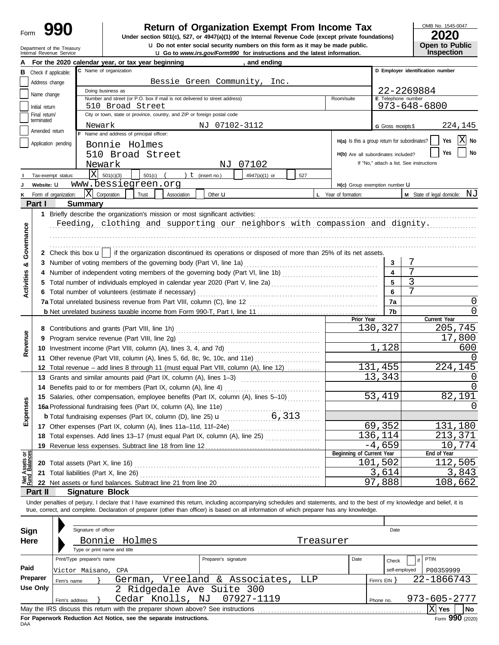| Form |  |
|------|--|
|------|--|

# **Return of Organization Exempt From Income Tax**

**u** Go to *www.irs.gov/Form990* for instructions and the latest information. **u** Do not enter social security numbers on this form as it may be made public. **Under section 501(c), 527, or 4947(a)(1) of the Internal Revenue Code (except private foundations)** OMB No. 1545-0047

|  | LULU                  |
|--|-----------------------|
|  | <b>Open to Public</b> |
|  | <b>Inspection</b>     |

| <b>U</b> Do not enter social security numbers on this form as it may be made public.<br>Open to Public<br>Department of the Treasury<br>Internal Revenue Service<br><b>u</b> Go to www.irs.gov/Form990 for instructions and the latest information. |                         |                                                                                                                                                                                                                                      |                                               |                           |                                          |
|-----------------------------------------------------------------------------------------------------------------------------------------------------------------------------------------------------------------------------------------------------|-------------------------|--------------------------------------------------------------------------------------------------------------------------------------------------------------------------------------------------------------------------------------|-----------------------------------------------|---------------------------|------------------------------------------|
|                                                                                                                                                                                                                                                     |                         | For the 2020 calendar year, or tax year beginning<br>, and ending                                                                                                                                                                    |                                               |                           | Inspection                               |
| в                                                                                                                                                                                                                                                   | Check if applicable:    | C Name of organization                                                                                                                                                                                                               |                                               |                           | D Employer identification number         |
|                                                                                                                                                                                                                                                     | Address change          | Bessie Green Community, Inc.                                                                                                                                                                                                         |                                               |                           |                                          |
|                                                                                                                                                                                                                                                     | Name change             | Doing business as                                                                                                                                                                                                                    |                                               |                           | 22-2269884                               |
|                                                                                                                                                                                                                                                     | Initial return          | Number and street (or P.O. box if mail is not delivered to street address)<br>510 Broad Street                                                                                                                                       | Room/suite                                    | <b>E</b> Telephone number | 973-648-6800                             |
|                                                                                                                                                                                                                                                     | Final return/           | City or town, state or province, country, and ZIP or foreign postal code                                                                                                                                                             |                                               |                           |                                          |
|                                                                                                                                                                                                                                                     | terminated              | NJ 07102-3112<br>Newark                                                                                                                                                                                                              |                                               | G Gross receipts \$       | 224,145                                  |
|                                                                                                                                                                                                                                                     | Amended return          | F Name and address of principal officer:                                                                                                                                                                                             |                                               |                           |                                          |
|                                                                                                                                                                                                                                                     | Application pending     | Bonnie Holmes                                                                                                                                                                                                                        | H(a) Is this a group return for subordinates? |                           | $X$ No<br>Yes                            |
|                                                                                                                                                                                                                                                     |                         | 510 Broad Street                                                                                                                                                                                                                     | H(b) Are all subordinates included?           |                           | No<br>Yes                                |
|                                                                                                                                                                                                                                                     |                         | 07102<br>Newark<br>ΝJ                                                                                                                                                                                                                |                                               |                           | If "No," attach a list. See instructions |
|                                                                                                                                                                                                                                                     | Tax-exempt status:      | X <br>501(c)(3)<br>$501(c)$ (<br>) $t$ (insert no.)<br>4947(a)(1) or<br>527                                                                                                                                                          |                                               |                           |                                          |
|                                                                                                                                                                                                                                                     | Website: U              | www.bessiegreen.org                                                                                                                                                                                                                  | H(c) Group exemption number U                 |                           |                                          |
|                                                                                                                                                                                                                                                     | Form of organization:   | $\bar{X}$ Corporation<br>Trust<br>Other <b>u</b><br>Association                                                                                                                                                                      | L Year of formation:                          |                           | M State of legal domicile: NJ            |
|                                                                                                                                                                                                                                                     | Part I                  | <b>Summary</b>                                                                                                                                                                                                                       |                                               |                           |                                          |
|                                                                                                                                                                                                                                                     |                         | 1 Briefly describe the organization's mission or most significant activities:                                                                                                                                                        |                                               |                           |                                          |
|                                                                                                                                                                                                                                                     |                         | Feeding, clothing and supporting our neighbors with compassion and dignity.                                                                                                                                                          |                                               |                           |                                          |
|                                                                                                                                                                                                                                                     |                         |                                                                                                                                                                                                                                      |                                               |                           |                                          |
| Governance                                                                                                                                                                                                                                          |                         |                                                                                                                                                                                                                                      |                                               |                           |                                          |
|                                                                                                                                                                                                                                                     |                         | 2 Check this box $\mathbf{u}$   if the organization discontinued its operations or disposed of more than 25% of its net assets.                                                                                                      |                                               |                           |                                          |
| ಯ                                                                                                                                                                                                                                                   |                         | 3 Number of voting members of the governing body (Part VI, line 1a)                                                                                                                                                                  |                                               | 3                         |                                          |
| Activities                                                                                                                                                                                                                                          |                         |                                                                                                                                                                                                                                      |                                               | 5                         | 7<br>3                                   |
|                                                                                                                                                                                                                                                     |                         |                                                                                                                                                                                                                                      |                                               | 6                         |                                          |
|                                                                                                                                                                                                                                                     |                         | 6 Total number of volunteers (estimate if necessary)                                                                                                                                                                                 |                                               | 7a                        | 0                                        |
|                                                                                                                                                                                                                                                     |                         |                                                                                                                                                                                                                                      |                                               | 7b                        | <sup>0</sup>                             |
|                                                                                                                                                                                                                                                     |                         |                                                                                                                                                                                                                                      | Prior Year                                    |                           | Current Year                             |
|                                                                                                                                                                                                                                                     |                         |                                                                                                                                                                                                                                      |                                               | 130,327                   | 205,745                                  |
| Revenue                                                                                                                                                                                                                                             | 9                       | Program service revenue (Part VIII, line 2g)                                                                                                                                                                                         |                                               |                           | 17,800                                   |
|                                                                                                                                                                                                                                                     |                         |                                                                                                                                                                                                                                      |                                               | 1,128                     | 600                                      |
|                                                                                                                                                                                                                                                     |                         | 11 Other revenue (Part VIII, column (A), lines 5, 6d, 8c, 9c, 10c, and 11e)                                                                                                                                                          |                                               |                           |                                          |
|                                                                                                                                                                                                                                                     | 12                      | Total revenue – add lines 8 through 11 (must equal Part VIII, column (A), line 12)                                                                                                                                                   |                                               | 131,455                   | 224,145                                  |
|                                                                                                                                                                                                                                                     |                         | 13 Grants and similar amounts paid (Part IX, column (A), lines 1-3)                                                                                                                                                                  |                                               | 13,343                    | $\left( \right)$                         |
|                                                                                                                                                                                                                                                     |                         | 14 Benefits paid to or for members (Part IX, column (A), line 4)                                                                                                                                                                     |                                               |                           |                                          |
|                                                                                                                                                                                                                                                     |                         | 15 Salaries, other compensation, employee benefits (Part IX, column (A), lines 5-10)                                                                                                                                                 |                                               | 53,419                    | 82,191                                   |
| nses                                                                                                                                                                                                                                                |                         | 16a Professional fundraising fees (Part IX, column (A), line 11e)                                                                                                                                                                    |                                               |                           | 0                                        |
| Exper                                                                                                                                                                                                                                               |                         |                                                                                                                                                                                                                                      |                                               |                           |                                          |
|                                                                                                                                                                                                                                                     |                         |                                                                                                                                                                                                                                      |                                               | 69,352                    | 131,180                                  |
|                                                                                                                                                                                                                                                     |                         | 18 Total expenses. Add lines 13-17 (must equal Part IX, column (A), line 25) [                                                                                                                                                       |                                               | 136,114                   | 213,371                                  |
|                                                                                                                                                                                                                                                     | 19                      |                                                                                                                                                                                                                                      | Beginning of Current Year                     | $-4,659$                  | 10,774<br>End of Year                    |
| Net Assets or<br>Fund Balances                                                                                                                                                                                                                      |                         | 20 Total assets (Part X, line 16) <b>CONVERTING THE CONVERTING TO THE CONVERTING TO THE CONVERTING TO THE CONVERTING TO THE CONVERTING TO THE CONVERTING TO THE CONVERTING TO THE CONVERTING TO THE CONVERTING TO THE CONVERTING</b> |                                               | 101,502                   | 112,505                                  |
|                                                                                                                                                                                                                                                     | 21                      |                                                                                                                                                                                                                                      |                                               | 3,614                     | 3,843                                    |
|                                                                                                                                                                                                                                                     |                         |                                                                                                                                                                                                                                      |                                               | 97,888                    | 108,662                                  |
|                                                                                                                                                                                                                                                     | Part II                 | <b>Signature Block</b>                                                                                                                                                                                                               |                                               |                           |                                          |
|                                                                                                                                                                                                                                                     |                         | Under penalties of perjury, I declare that I have examined this return, including accompanying schedules and statements, and to the best of my knowledge and belief, it is                                                           |                                               |                           |                                          |
|                                                                                                                                                                                                                                                     |                         | true, correct, and complete. Declaration of preparer (other than officer) is based on all information of which preparer has any knowledge.                                                                                           |                                               |                           |                                          |
|                                                                                                                                                                                                                                                     |                         |                                                                                                                                                                                                                                      |                                               |                           |                                          |
| Sign                                                                                                                                                                                                                                                |                         | Signature of officer                                                                                                                                                                                                                 |                                               | Date                      |                                          |
| Here                                                                                                                                                                                                                                                |                         | Bonnie Holmes<br>Treasurer                                                                                                                                                                                                           |                                               |                           |                                          |
|                                                                                                                                                                                                                                                     |                         | Type or print name and title                                                                                                                                                                                                         |                                               |                           |                                          |
|                                                                                                                                                                                                                                                     |                         | Print/Type preparer's name<br>Preparer's signature                                                                                                                                                                                   | Date                                          | Check                     | PTIN<br>if                               |
| Paid                                                                                                                                                                                                                                                |                         | Victor Maisano,<br>CPA                                                                                                                                                                                                               |                                               | self-employed             | P00359999                                |
|                                                                                                                                                                                                                                                     | Preparer<br>Firm's name | German, Vreeland & Associates,<br>LLP                                                                                                                                                                                                |                                               | Firm's EIN }              | 22-1866743                               |
|                                                                                                                                                                                                                                                     | <b>Use Only</b>         | 2 Ridgedale Ave Suite 300                                                                                                                                                                                                            |                                               |                           |                                          |
|                                                                                                                                                                                                                                                     | Firm's address          | Cedar Knolls, NJ<br>07927-1119                                                                                                                                                                                                       |                                               | Phone no.                 | 973-605-2777                             |
|                                                                                                                                                                                                                                                     |                         |                                                                                                                                                                                                                                      |                                               |                           | $ X $ Yes<br>No                          |

| Sign<br>Here    |                            | Signature of officer | Bonnie Holmes<br>Type or print name and title |                                                                                 | Treasurer |      |                | Date          |              |    |
|-----------------|----------------------------|----------------------|-----------------------------------------------|---------------------------------------------------------------------------------|-----------|------|----------------|---------------|--------------|----|
|                 |                            |                      |                                               |                                                                                 |           |      |                |               |              |    |
|                 | Print/Type preparer's name |                      |                                               | Preparer's signature                                                            |           | Date |                | Check         | <b>PTIN</b>  |    |
| Paid            | Victor Maisano, CPA        |                      |                                               |                                                                                 |           |      |                | self-employed | P00359999    |    |
| Preparer        | Firm's name                |                      |                                               | German, Vreeland & Associates, LLP                                              |           |      | Firm's $EIN$ } |               | 22-1866743   |    |
| <b>Use Only</b> |                            |                      |                                               | 2 Ridgedale Ave Suite 300                                                       |           |      |                |               |              |    |
|                 | Firm's address             |                      |                                               | Cedar Knolls, NJ 07927-1119                                                     |           |      | Phone no.      |               | 973-605-2777 |    |
|                 |                            |                      |                                               | May the IRS discuss this return with the preparer shown above? See instructions |           |      |                |               | Yes          | No |
|                 |                            |                      |                                               |                                                                                 |           |      |                |               |              |    |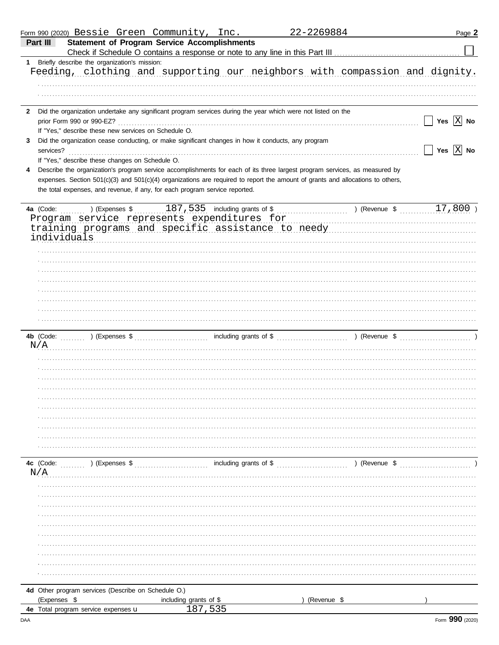|   |                  |                                                                                   |                |                        | Form 990 (2020) Bessie Green Community, Inc.                                                                   | 22-2269884                                                                                                                     |               | Page 2                                                                                          |
|---|------------------|-----------------------------------------------------------------------------------|----------------|------------------------|----------------------------------------------------------------------------------------------------------------|--------------------------------------------------------------------------------------------------------------------------------|---------------|-------------------------------------------------------------------------------------------------|
|   | Part III         |                                                                                   |                |                        | <b>Statement of Program Service Accomplishments</b>                                                            |                                                                                                                                |               |                                                                                                 |
|   |                  |                                                                                   |                |                        |                                                                                                                |                                                                                                                                |               |                                                                                                 |
|   |                  | 1 Briefly describe the organization's mission:                                    |                |                        |                                                                                                                |                                                                                                                                |               |                                                                                                 |
|   |                  |                                                                                   |                |                        |                                                                                                                |                                                                                                                                |               | Feeding, clothing and supporting our neighbors with compassion and dignity.                     |
|   |                  |                                                                                   |                |                        |                                                                                                                |                                                                                                                                |               |                                                                                                 |
|   |                  |                                                                                   |                |                        |                                                                                                                |                                                                                                                                |               |                                                                                                 |
|   |                  |                                                                                   |                |                        |                                                                                                                |                                                                                                                                |               |                                                                                                 |
|   |                  |                                                                                   |                |                        | 2 Did the organization undertake any significant program services during the year which were not listed on the |                                                                                                                                |               |                                                                                                 |
|   |                  | prior Form 990 or 990-EZ?<br>If "Yes," describe these new services on Schedule O. |                |                        |                                                                                                                |                                                                                                                                |               | Yes $ X $ No                                                                                    |
| 3 |                  |                                                                                   |                |                        | Did the organization cease conducting, or make significant changes in how it conducts, any program             |                                                                                                                                |               |                                                                                                 |
|   | services?        |                                                                                   |                |                        |                                                                                                                |                                                                                                                                |               | Yes $\overline{X}$ No                                                                           |
|   |                  | If "Yes," describe these changes on Schedule O.                                   |                |                        |                                                                                                                |                                                                                                                                |               |                                                                                                 |
| 4 |                  |                                                                                   |                |                        |                                                                                                                | Describe the organization's program service accomplishments for each of its three largest program services, as measured by     |               |                                                                                                 |
|   |                  |                                                                                   |                |                        |                                                                                                                | expenses. Section 501(c)(3) and 501(c)(4) organizations are required to report the amount of grants and allocations to others, |               |                                                                                                 |
|   |                  |                                                                                   |                |                        | the total expenses, and revenue, if any, for each program service reported.                                    |                                                                                                                                |               |                                                                                                 |
|   |                  |                                                                                   |                |                        |                                                                                                                |                                                                                                                                |               |                                                                                                 |
|   | 4a (Code:        |                                                                                   |                |                        |                                                                                                                |                                                                                                                                |               | 17,800)                                                                                         |
|   |                  |                                                                                   |                |                        | Program service represents expenditures for                                                                    |                                                                                                                                |               |                                                                                                 |
|   |                  |                                                                                   |                |                        |                                                                                                                |                                                                                                                                |               | training programs and specific assistance to needy manuscrimon and specific assistance to needy |
|   | individuals      |                                                                                   |                |                        |                                                                                                                |                                                                                                                                |               |                                                                                                 |
|   |                  |                                                                                   |                |                        |                                                                                                                |                                                                                                                                |               |                                                                                                 |
|   |                  |                                                                                   |                |                        |                                                                                                                |                                                                                                                                |               |                                                                                                 |
|   |                  |                                                                                   |                |                        |                                                                                                                |                                                                                                                                |               |                                                                                                 |
|   |                  |                                                                                   |                |                        |                                                                                                                |                                                                                                                                |               |                                                                                                 |
|   |                  |                                                                                   |                |                        |                                                                                                                |                                                                                                                                |               |                                                                                                 |
|   |                  |                                                                                   |                |                        |                                                                                                                |                                                                                                                                |               |                                                                                                 |
|   |                  |                                                                                   |                |                        |                                                                                                                |                                                                                                                                |               |                                                                                                 |
|   |                  |                                                                                   |                |                        |                                                                                                                |                                                                                                                                |               |                                                                                                 |
|   |                  |                                                                                   |                |                        |                                                                                                                |                                                                                                                                |               |                                                                                                 |
|   |                  |                                                                                   |                |                        |                                                                                                                |                                                                                                                                |               |                                                                                                 |
|   | N/A              |                                                                                   |                |                        |                                                                                                                |                                                                                                                                |               |                                                                                                 |
|   |                  |                                                                                   |                |                        |                                                                                                                |                                                                                                                                |               |                                                                                                 |
|   |                  |                                                                                   |                |                        |                                                                                                                |                                                                                                                                |               |                                                                                                 |
|   |                  |                                                                                   |                |                        |                                                                                                                |                                                                                                                                |               |                                                                                                 |
|   |                  |                                                                                   |                |                        |                                                                                                                |                                                                                                                                |               |                                                                                                 |
|   |                  |                                                                                   |                |                        |                                                                                                                |                                                                                                                                |               |                                                                                                 |
|   |                  |                                                                                   |                |                        |                                                                                                                |                                                                                                                                |               |                                                                                                 |
|   |                  |                                                                                   |                |                        |                                                                                                                |                                                                                                                                |               |                                                                                                 |
|   |                  |                                                                                   |                |                        |                                                                                                                |                                                                                                                                |               |                                                                                                 |
|   |                  |                                                                                   |                |                        |                                                                                                                |                                                                                                                                |               |                                                                                                 |
|   |                  |                                                                                   |                |                        |                                                                                                                |                                                                                                                                |               |                                                                                                 |
|   |                  |                                                                                   |                |                        |                                                                                                                |                                                                                                                                |               |                                                                                                 |
|   | 4c (Code:<br>N/A |                                                                                   | ) (Expenses \$ |                        |                                                                                                                |                                                                                                                                | ) (Revenue \$ |                                                                                                 |
|   |                  |                                                                                   |                |                        |                                                                                                                |                                                                                                                                |               |                                                                                                 |
|   |                  |                                                                                   |                |                        |                                                                                                                |                                                                                                                                |               |                                                                                                 |
|   |                  |                                                                                   |                |                        |                                                                                                                |                                                                                                                                |               |                                                                                                 |
|   |                  |                                                                                   |                |                        |                                                                                                                |                                                                                                                                |               |                                                                                                 |
|   |                  |                                                                                   |                |                        |                                                                                                                |                                                                                                                                |               |                                                                                                 |
|   |                  |                                                                                   |                |                        |                                                                                                                |                                                                                                                                |               |                                                                                                 |
|   |                  |                                                                                   |                |                        |                                                                                                                |                                                                                                                                |               |                                                                                                 |
|   |                  |                                                                                   |                |                        |                                                                                                                |                                                                                                                                |               |                                                                                                 |
|   |                  |                                                                                   |                |                        |                                                                                                                |                                                                                                                                |               |                                                                                                 |
|   |                  |                                                                                   |                |                        |                                                                                                                |                                                                                                                                |               |                                                                                                 |
|   |                  |                                                                                   |                |                        |                                                                                                                |                                                                                                                                |               |                                                                                                 |
|   |                  | 4d Other program services (Describe on Schedule O.)                               |                |                        |                                                                                                                |                                                                                                                                |               |                                                                                                 |
|   | (Expenses \$     |                                                                                   |                | including grants of \$ |                                                                                                                | (Revenue \$                                                                                                                    |               |                                                                                                 |
|   |                  | 4e Total program service expenses u                                               |                |                        | 187,535                                                                                                        |                                                                                                                                |               |                                                                                                 |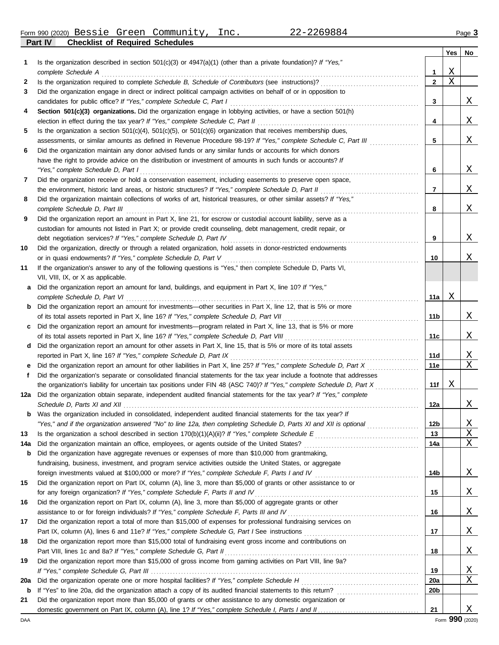Form 990 (2020) Page **3** Bessie Green Community, Inc. 22-2269884

**Part IV Checklist of Required Schedules**

|             |                                                                                                                                                                                                                                               |                 | Yes | No |
|-------------|-----------------------------------------------------------------------------------------------------------------------------------------------------------------------------------------------------------------------------------------------|-----------------|-----|----|
| 1           | Is the organization described in section $501(c)(3)$ or $4947(a)(1)$ (other than a private foundation)? If "Yes,"                                                                                                                             |                 |     |    |
|             | complete Schedule A                                                                                                                                                                                                                           | 1               | Χ   |    |
| 2           |                                                                                                                                                                                                                                               | $\mathbf{2}$    | Χ   |    |
| 3           | Did the organization engage in direct or indirect political campaign activities on behalf of or in opposition to                                                                                                                              |                 |     |    |
|             | candidates for public office? If "Yes," complete Schedule C, Part I                                                                                                                                                                           | 3               |     | X  |
| 4           | Section 501(c)(3) organizations. Did the organization engage in lobbying activities, or have a section 501(h)                                                                                                                                 |                 |     |    |
|             |                                                                                                                                                                                                                                               | 4               |     | Χ  |
| 5           | Is the organization a section $501(c)(4)$ , $501(c)(5)$ , or $501(c)(6)$ organization that receives membership dues,                                                                                                                          |                 |     |    |
|             | assessments, or similar amounts as defined in Revenue Procedure 98-19? If "Yes," complete Schedule C, Part III                                                                                                                                | 5               |     | Χ  |
| 6           | Did the organization maintain any donor advised funds or any similar funds or accounts for which donors                                                                                                                                       |                 |     |    |
|             | have the right to provide advice on the distribution or investment of amounts in such funds or accounts? If                                                                                                                                   |                 |     |    |
|             | "Yes," complete Schedule D, Part I                                                                                                                                                                                                            | 6               |     | Χ  |
| 7           | Did the organization receive or hold a conservation easement, including easements to preserve open space,                                                                                                                                     |                 |     |    |
|             |                                                                                                                                                                                                                                               | 7               |     | Χ  |
| 8           | Did the organization maintain collections of works of art, historical treasures, or other similar assets? If "Yes,"                                                                                                                           |                 |     |    |
|             |                                                                                                                                                                                                                                               | 8               |     | Χ  |
| 9           | Did the organization report an amount in Part X, line 21, for escrow or custodial account liability, serve as a                                                                                                                               |                 |     |    |
|             | custodian for amounts not listed in Part X; or provide credit counseling, debt management, credit repair, or                                                                                                                                  |                 |     |    |
|             | debt negotiation services? If "Yes," complete Schedule D, Part IV                                                                                                                                                                             | 9               |     | X  |
| 10          | Did the organization, directly or through a related organization, hold assets in donor-restricted endowments                                                                                                                                  |                 |     |    |
|             |                                                                                                                                                                                                                                               | 10              |     | Χ  |
| 11          | If the organization's answer to any of the following questions is "Yes," then complete Schedule D, Parts VI,                                                                                                                                  |                 |     |    |
|             | VII, VIII, IX, or X as applicable.                                                                                                                                                                                                            |                 |     |    |
| a           | Did the organization report an amount for land, buildings, and equipment in Part X, line 10? If "Yes,"                                                                                                                                        |                 |     |    |
|             | complete Schedule D, Part VI                                                                                                                                                                                                                  | 11a             | Χ   |    |
| b           | Did the organization report an amount for investments—other securities in Part X, line 12, that is 5% or more                                                                                                                                 |                 |     |    |
|             |                                                                                                                                                                                                                                               | 11 b            |     | Χ  |
| c           | Did the organization report an amount for investments—program related in Part X, line 13, that is 5% or more                                                                                                                                  |                 |     |    |
|             | of its total assets reported in Part X, line 16? If "Yes," complete Schedule D, Part VIII [[[[[[[[[[[[[[[[[[[[                                                                                                                                | 11c             |     | Χ  |
| d           | Did the organization report an amount for other assets in Part X, line 15, that is 5% or more of its total assets                                                                                                                             |                 |     |    |
|             | reported in Part X, line 16? If "Yes," complete Schedule D, Part IX                                                                                                                                                                           | 11d             |     | Χ  |
|             | Did the organization report an amount for other liabilities in Part X, line 25? If "Yes," complete Schedule D, Part X                                                                                                                         | 11e             |     | Χ  |
| f           | Did the organization's separate or consolidated financial statements for the tax year include a footnote that addresses                                                                                                                       | 11f             | Χ   |    |
| 12a         | the organization's liability for uncertain tax positions under FIN 48 (ASC 740)? If "Yes," complete Schedule D, Part X<br>Did the organization obtain separate, independent audited financial statements for the tax year? If "Yes," complete |                 |     |    |
|             |                                                                                                                                                                                                                                               | 12a             |     | Χ  |
| b           | Was the organization included in consolidated, independent audited financial statements for the tax year? If                                                                                                                                  |                 |     |    |
|             | "Yes," and if the organization answered "No" to line 12a, then completing Schedule D, Parts XI and XII is optional                                                                                                                            | 12 <sub>b</sub> |     | Χ  |
| 13          |                                                                                                                                                                                                                                               | 13              |     | Χ  |
| 14a         |                                                                                                                                                                                                                                               | 14a             |     | Χ  |
| b           | Did the organization have aggregate revenues or expenses of more than \$10,000 from grantmaking,                                                                                                                                              |                 |     |    |
|             | fundraising, business, investment, and program service activities outside the United States, or aggregate                                                                                                                                     |                 |     |    |
|             | foreign investments valued at \$100,000 or more? If "Yes," complete Schedule F, Parts I and IV [[[[[[[[[[[[[[[                                                                                                                                | 14b             |     | X  |
| 15          | Did the organization report on Part IX, column (A), line 3, more than \$5,000 of grants or other assistance to or                                                                                                                             |                 |     |    |
|             | for any foreign organization? If "Yes," complete Schedule F, Parts II and IV                                                                                                                                                                  | 15              |     | X  |
| 16          | Did the organization report on Part IX, column (A), line 3, more than \$5,000 of aggregate grants or other                                                                                                                                    |                 |     |    |
|             |                                                                                                                                                                                                                                               | 16              |     | X  |
| 17          | Did the organization report a total of more than \$15,000 of expenses for professional fundraising services on                                                                                                                                |                 |     |    |
|             |                                                                                                                                                                                                                                               | 17              |     | X  |
| 18          | Did the organization report more than \$15,000 total of fundraising event gross income and contributions on                                                                                                                                   |                 |     |    |
|             |                                                                                                                                                                                                                                               | 18              |     | X  |
| 19          | Did the organization report more than \$15,000 of gross income from gaming activities on Part VIII, line 9a?                                                                                                                                  |                 |     |    |
|             |                                                                                                                                                                                                                                               | 19              |     | X  |
| 20a         |                                                                                                                                                                                                                                               | 20a             |     | Χ  |
| $\mathbf b$ |                                                                                                                                                                                                                                               | 20 <sub>b</sub> |     |    |
| 21          | Did the organization report more than \$5,000 of grants or other assistance to any domestic organization or                                                                                                                                   |                 |     |    |
|             |                                                                                                                                                                                                                                               | 21              |     | Χ  |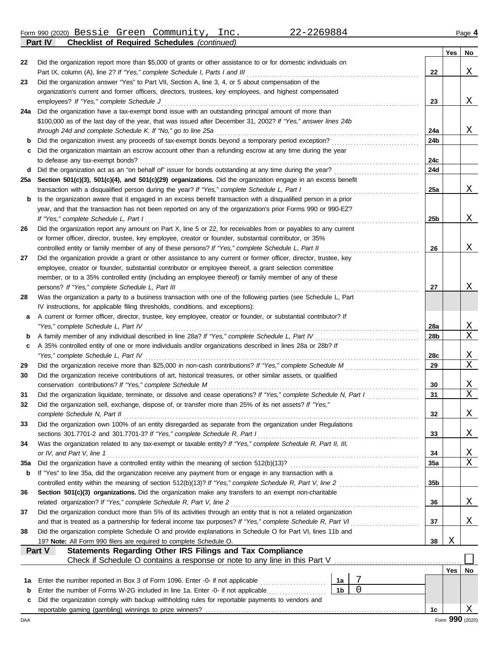Form 990 (2020) Page **4 Part IV Checklist of Required Schedules** *(continued)* Bessie Green Community, Inc. 22-2269884

|     |                                                                                                                                                                                                                            |    |   |                 | <b>Yes</b> | No              |
|-----|----------------------------------------------------------------------------------------------------------------------------------------------------------------------------------------------------------------------------|----|---|-----------------|------------|-----------------|
| 22  | Did the organization report more than \$5,000 of grants or other assistance to or for domestic individuals on                                                                                                              |    |   |                 |            |                 |
|     | Part IX, column (A), line 2? If "Yes," complete Schedule I, Parts I and III                                                                                                                                                |    |   | 22              |            | Χ               |
| 23  | Did the organization answer "Yes" to Part VII, Section A, line 3, 4, or 5 about compensation of the                                                                                                                        |    |   |                 |            |                 |
|     | organization's current and former officers, directors, trustees, key employees, and highest compensated                                                                                                                    |    |   |                 |            |                 |
|     | employees? If "Yes," complete Schedule J                                                                                                                                                                                   |    |   | 23              |            | X               |
| 24a | Did the organization have a tax-exempt bond issue with an outstanding principal amount of more than                                                                                                                        |    |   |                 |            |                 |
|     | \$100,000 as of the last day of the year, that was issued after December 31, 2002? If "Yes," answer lines 24b                                                                                                              |    |   |                 |            |                 |
|     |                                                                                                                                                                                                                            |    |   | 24a             |            | X               |
| b   | Did the organization invest any proceeds of tax-exempt bonds beyond a temporary period exception?                                                                                                                          |    |   | 24b             |            |                 |
| c   | Did the organization maintain an escrow account other than a refunding escrow at any time during the year<br>to defease any tax-exempt bonds?                                                                              |    |   | 24c             |            |                 |
| d   |                                                                                                                                                                                                                            |    |   | 24d             |            |                 |
| 25a | Section 501(c)(3), 501(c)(4), and 501(c)(29) organizations. Did the organization engage in an excess benefit                                                                                                               |    |   |                 |            |                 |
|     | transaction with a disqualified person during the year? If "Yes," complete Schedule L, Part I                                                                                                                              |    |   | 25a             |            | X               |
| b   | Is the organization aware that it engaged in an excess benefit transaction with a disqualified person in a prior                                                                                                           |    |   |                 |            |                 |
|     | year, and that the transaction has not been reported on any of the organization's prior Forms 990 or 990-EZ?                                                                                                               |    |   |                 |            |                 |
|     | If "Yes," complete Schedule L, Part I                                                                                                                                                                                      |    |   | 25b             |            | Χ               |
| 26  | Did the organization report any amount on Part X, line 5 or 22, for receivables from or payables to any current                                                                                                            |    |   |                 |            |                 |
|     | or former officer, director, trustee, key employee, creator or founder, substantial contributor, or 35%                                                                                                                    |    |   |                 |            |                 |
|     | controlled entity or family member of any of these persons? If "Yes," complete Schedule L, Part II                                                                                                                         |    |   | 26              |            | Χ               |
| 27  | Did the organization provide a grant or other assistance to any current or former officer, director, trustee, key                                                                                                          |    |   |                 |            |                 |
|     | employee, creator or founder, substantial contributor or employee thereof, a grant selection committee                                                                                                                     |    |   |                 |            |                 |
|     | member, or to a 35% controlled entity (including an employee thereof) or family member of any of these                                                                                                                     |    |   |                 |            |                 |
|     | persons? If "Yes," complete Schedule L, Part III                                                                                                                                                                           |    |   | 27              |            | Χ               |
| 28  | Was the organization a party to a business transaction with one of the following parties (see Schedule L, Part                                                                                                             |    |   |                 |            |                 |
|     | IV instructions, for applicable filing thresholds, conditions, and exceptions):                                                                                                                                            |    |   |                 |            |                 |
| a   | A current or former officer, director, trustee, key employee, creator or founder, or substantial contributor? If                                                                                                           |    |   |                 |            |                 |
|     | "Yes," complete Schedule L, Part IV                                                                                                                                                                                        |    |   | 28a             |            | X               |
| b   |                                                                                                                                                                                                                            |    |   | 28 <sub>b</sub> |            | X               |
| c   | A 35% controlled entity of one or more individuals and/or organizations described in lines 28a or 28b? If<br>"Yes," complete Schedule L, Part IV                                                                           |    |   | 28c             |            | X               |
| 29  |                                                                                                                                                                                                                            |    |   | 29              |            | X               |
| 30  | Did the organization receive contributions of art, historical treasures, or other similar assets, or qualified                                                                                                             |    |   |                 |            |                 |
|     | conservation contributions? If "Yes," complete Schedule M                                                                                                                                                                  |    |   | 30              |            | X               |
| 31  | Did the organization liquidate, terminate, or dissolve and cease operations? If "Yes," complete Schedule N, Part I                                                                                                         |    |   | 31              |            | Χ               |
| 32  | Did the organization sell, exchange, dispose of, or transfer more than 25% of its net assets? If "Yes,"                                                                                                                    |    |   |                 |            |                 |
|     | complete Schedule N, Part II                                                                                                                                                                                               |    |   | 32              |            | Χ               |
| 33  | Did the organization own 100% of an entity disregarded as separate from the organization under Regulations                                                                                                                 |    |   |                 |            |                 |
|     | sections 301.7701-2 and 301.7701-3? If "Yes," complete Schedule R, Part I                                                                                                                                                  |    |   | 33              |            | X               |
| 34  | Was the organization related to any tax-exempt or taxable entity? If "Yes," complete Schedule R, Part II, III,                                                                                                             |    |   |                 |            |                 |
|     | or IV, and Part V, line 1                                                                                                                                                                                                  |    |   | 34              |            | X               |
| 35a |                                                                                                                                                                                                                            |    |   | <b>35a</b>      |            | Χ               |
| b   | If "Yes" to line 35a, did the organization receive any payment from or engage in any transaction with a                                                                                                                    |    |   |                 |            |                 |
|     |                                                                                                                                                                                                                            |    |   | 35 <sub>b</sub> |            |                 |
| 36  | Section 501(c)(3) organizations. Did the organization make any transfers to an exempt non-charitable                                                                                                                       |    |   |                 |            |                 |
|     | related organization? If "Yes," complete Schedule R, Part V, line 2                                                                                                                                                        |    |   | 36              |            | X               |
| 37  | Did the organization conduct more than 5% of its activities through an entity that is not a related organization                                                                                                           |    |   |                 |            |                 |
|     | and that is treated as a partnership for federal income tax purposes? If "Yes," complete Schedule R, Part VI<br>Did the organization complete Schedule O and provide explanations in Schedule O for Part VI, lines 11b and |    |   | 37              |            | X               |
| 38  | 19? Note: All Form 990 filers are required to complete Schedule O.                                                                                                                                                         |    |   | 38              | Χ          |                 |
|     | Statements Regarding Other IRS Filings and Tax Compliance<br>Part V                                                                                                                                                        |    |   |                 |            |                 |
|     | Check if Schedule O contains a response or note to any line in this Part V                                                                                                                                                 |    |   |                 |            |                 |
|     |                                                                                                                                                                                                                            |    |   |                 | Yes        | No              |
| 1а  | Enter the number reported in Box 3 of Form 1096. Enter -0- if not applicable [                                                                                                                                             | 1а | 7 |                 |            |                 |
| b   | Enter the number of Forms W-2G included in line 1a. Enter -0- if not applicable                                                                                                                                            | 1b | 0 |                 |            |                 |
| c   | Did the organization comply with backup withholding rules for reportable payments to vendors and                                                                                                                           |    |   |                 |            |                 |
|     |                                                                                                                                                                                                                            |    |   | 1c              |            | Χ               |
| DAA |                                                                                                                                                                                                                            |    |   |                 |            | Form 990 (2020) |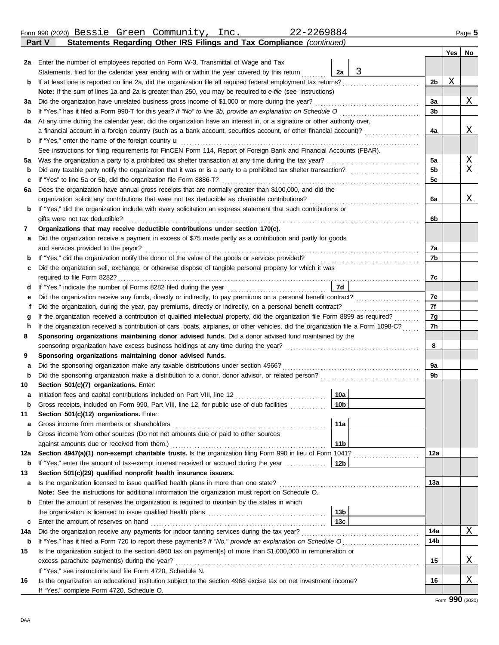DAA

|     | Form 990 (2020) Bessie Green Community,<br>22-2269884<br>Inc.<br>Statements Regarding Other IRS Filings and Tax Compliance (continued)                                                    |                 |                |     | Page 5 |
|-----|-------------------------------------------------------------------------------------------------------------------------------------------------------------------------------------------|-----------------|----------------|-----|--------|
|     | Part V                                                                                                                                                                                    |                 |                |     |        |
|     | 2a Enter the number of employees reported on Form W-3, Transmittal of Wage and Tax                                                                                                        |                 |                | Yes | No     |
|     | Statements, filed for the calendar year ending with or within the year covered by this return                                                                                             | 3<br>2a         |                |     |        |
| b   |                                                                                                                                                                                           |                 | 2b             | Χ   |        |
|     | Note: If the sum of lines 1a and 2a is greater than 250, you may be required to e-file (see instructions)                                                                                 |                 |                |     |        |
| За  | Did the organization have unrelated business gross income of \$1,000 or more during the year?                                                                                             |                 | За             |     | Χ      |
| b   |                                                                                                                                                                                           |                 | 3b             |     |        |
| 4a  | At any time during the calendar year, did the organization have an interest in, or a signature or other authority over,                                                                   |                 |                |     |        |
|     | a financial account in a foreign country (such as a bank account, securities account, or other financial account)?                                                                        |                 | 4a             |     | Χ      |
| b   | If "Yes," enter the name of the foreign country u                                                                                                                                         |                 |                |     |        |
|     | See instructions for filing requirements for FinCEN Form 114, Report of Foreign Bank and Financial Accounts (FBAR).                                                                       |                 |                |     |        |
| 5a  |                                                                                                                                                                                           |                 | 5a             |     | Χ      |
| b   |                                                                                                                                                                                           |                 | 5 <sub>b</sub> |     | Χ      |
| c   | If "Yes" to line 5a or 5b, did the organization file Form 8886-T?                                                                                                                         |                 | 5c             |     |        |
| 6a  | Does the organization have annual gross receipts that are normally greater than \$100,000, and did the                                                                                    |                 |                |     |        |
|     |                                                                                                                                                                                           |                 | 6a             |     | Χ      |
| b   | If "Yes," did the organization include with every solicitation an express statement that such contributions or                                                                            |                 |                |     |        |
|     | gifts were not tax deductible?                                                                                                                                                            |                 | 6b             |     |        |
| 7   | Organizations that may receive deductible contributions under section 170(c).                                                                                                             |                 |                |     |        |
| а   | Did the organization receive a payment in excess of \$75 made partly as a contribution and partly for goods                                                                               |                 |                |     |        |
|     | and services provided to the payor?                                                                                                                                                       |                 | 7a             |     |        |
| b   |                                                                                                                                                                                           |                 | 7b             |     |        |
| с   | Did the organization sell, exchange, or otherwise dispose of tangible personal property for which it was                                                                                  |                 |                |     |        |
|     | required to file Form 8282?                                                                                                                                                               | 7d              | 7c             |     |        |
| е   | Did the organization receive any funds, directly or indirectly, to pay premiums on a personal benefit contract?                                                                           |                 | 7e             |     |        |
|     |                                                                                                                                                                                           |                 | 7f             |     |        |
| g   | If the organization received a contribution of qualified intellectual property, did the organization file Form 8899 as required?                                                          |                 | 7g             |     |        |
| h   | If the organization received a contribution of cars, boats, airplanes, or other vehicles, did the organization file a Form 1098-C?                                                        |                 | 7h             |     |        |
| 8   | Sponsoring organizations maintaining donor advised funds. Did a donor advised fund maintained by the                                                                                      |                 |                |     |        |
|     |                                                                                                                                                                                           |                 | 8              |     |        |
| 9   | Sponsoring organizations maintaining donor advised funds.                                                                                                                                 |                 |                |     |        |
| а   | Did the sponsoring organization make any taxable distributions under section 4966?                                                                                                        |                 | 9a             |     |        |
| b   |                                                                                                                                                                                           |                 | 9b             |     |        |
| 10  | Section 501(c)(7) organizations. Enter:                                                                                                                                                   |                 |                |     |        |
| а   |                                                                                                                                                                                           | 10a             |                |     |        |
| b   | Gross receipts, included on Form 990, Part VIII, line 12, for public use of club facilities                                                                                               | 10 <sub>b</sub> |                |     |        |
| 11  | Section 501(c)(12) organizations. Enter:                                                                                                                                                  |                 |                |     |        |
| а   | Gross income from members or shareholders                                                                                                                                                 | 11a             |                |     |        |
| b   | Gross income from other sources (Do not net amounts due or paid to other sources                                                                                                          |                 |                |     |        |
|     | against amounts due or received from them.)                                                                                                                                               | 11b             |                |     |        |
| 12a | Section 4947(a)(1) non-exempt charitable trusts. Is the organization filing Form 990 in lieu of Form 1041?                                                                                |                 | 12a            |     |        |
| b   | If "Yes," enter the amount of tax-exempt interest received or accrued during the year                                                                                                     | 12b             |                |     |        |
| 13  | Section 501(c)(29) qualified nonprofit health insurance issuers.                                                                                                                          |                 | 13а            |     |        |
| a   | Is the organization licensed to issue qualified health plans in more than one state?<br>Note: See the instructions for additional information the organization must report on Schedule O. |                 |                |     |        |
| b   | Enter the amount of reserves the organization is required to maintain by the states in which                                                                                              |                 |                |     |        |
|     |                                                                                                                                                                                           | 13 <sub>b</sub> |                |     |        |
| c   |                                                                                                                                                                                           | 13 <sub>c</sub> |                |     |        |
| 14a | Did the organization receive any payments for indoor tanning services during the tax year?                                                                                                |                 | 14a            |     | Χ      |
|     |                                                                                                                                                                                           |                 |                |     |        |

| 14a | Did the organization receive any payments for indoor tanning services during the tax year?                         | 14a |   |
|-----|--------------------------------------------------------------------------------------------------------------------|-----|---|
|     | <b>b</b> If "Yes," has it filed a Form 720 to report these payments? If "No," provide an explanation on Schedule O | 14b |   |
| 15  | Is the organization subject to the section 4960 tax on payment(s) of more than \$1,000,000 in remuneration or      |     |   |
|     | excess parachute payment(s) during the year?                                                                       | 15  | v |
|     | If "Yes," see instructions and file Form 4720, Schedule N.                                                         |     |   |
| 16  | Is the organization an educational institution subject to the section 4968 excise tax on net investment income?    | 16  | v |
|     | If "Yes," complete Form 4720, Schedule O.                                                                          |     |   |

Form **990** (2020)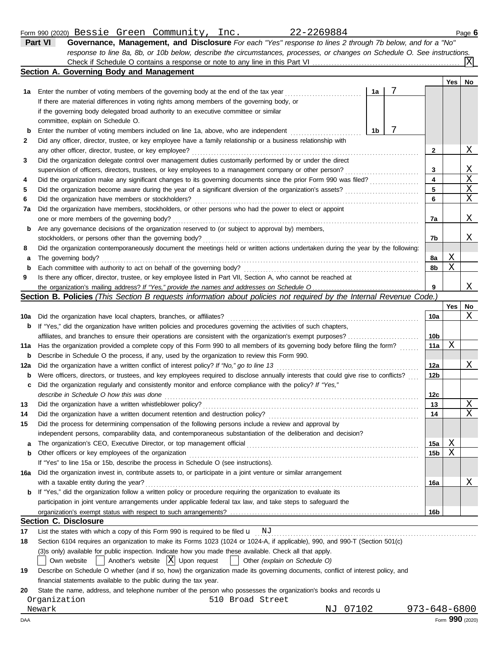### Form 990 (2020) Page **6** Bessie Green Community, Inc. 22-2269884

| . 9 999 .LULU.                                                                         |  |                                                                                                                           |    |  |            | $-4.4$                  |
|----------------------------------------------------------------------------------------|--|---------------------------------------------------------------------------------------------------------------------------|----|--|------------|-------------------------|
| Part VI                                                                                |  | Governance, Management, and Disclosure For each "Yes" response to lines 2 through 7b below, and for a "No"                |    |  |            |                         |
|                                                                                        |  | response to line 8a, 8b, or 10b below, describe the circumstances, processes, or changes on Schedule O. See instructions. |    |  |            |                         |
|                                                                                        |  |                                                                                                                           |    |  |            | $\overline{\mathrm{x}}$ |
| Section A. Governing Body and Management                                               |  |                                                                                                                           |    |  |            |                         |
|                                                                                        |  |                                                                                                                           |    |  | <b>Yes</b> | No                      |
| 1a Enter the number of voting members of the governing body at the end of the tax year |  |                                                                                                                           | 1a |  |            |                         |

|    | Liker the number of young members of the governing body at the end of the tax year<br>ю                                           |    |   |   |
|----|-----------------------------------------------------------------------------------------------------------------------------------|----|---|---|
|    | If there are material differences in voting rights among members of the governing body, or                                        |    |   |   |
|    | if the governing body delegated broad authority to an executive committee or similar                                              |    |   |   |
|    | committee, explain on Schedule O.                                                                                                 |    |   |   |
| b  | Enter the number of voting members included on line 1a, above, who are independent<br>1b                                          |    |   |   |
| 2  | Did any officer, director, trustee, or key employee have a family relationship or a business relationship with                    |    |   |   |
|    | any other officer, director, trustee, or key employee?                                                                            | 2  |   | Χ |
| 3  | Did the organization delegate control over management duties customarily performed by or under the direct                         |    |   |   |
|    | supervision of officers, directors, trustees, or key employees to a management company or other person?                           | 3  |   | Χ |
| 4  | Did the organization make any significant changes to its governing documents since the prior Form 990 was filed?                  | 4  |   | X |
| 5  | Did the organization become aware during the year of a significant diversion of the organization's assets?                        | 5  |   | Χ |
| 6  | Did the organization have members or stockholders?                                                                                | 6  |   | Χ |
| 7a | Did the organization have members, stockholders, or other persons who had the power to elect or appoint                           |    |   |   |
|    | one or more members of the governing body?                                                                                        | 7a |   | Χ |
| b  | Are any governance decisions of the organization reserved to (or subject to approval by) members,                                 |    |   |   |
|    | stockholders, or persons other than the governing body?                                                                           | 7b |   | х |
| 8  | Did the organization contemporaneously document the meetings held or written actions undertaken during the year by the following: |    |   |   |
| a  | The governing body?                                                                                                               | 8a | Χ |   |
| b  | Each committee with authority to act on behalf of the governing body?                                                             | 8b | Χ |   |
| 9  | Is there any officer, director, trustee, or key employee listed in Part VII, Section A, who cannot be reached at                  |    |   |   |
|    |                                                                                                                                   | 9  |   | Χ |

### **Section B. Policies** *(This Section B requests information about policies not required by the Internal Revenue Code.)*

|     |                                                                                                                                     |                 | <b>Yes</b> | No |
|-----|-------------------------------------------------------------------------------------------------------------------------------------|-----------------|------------|----|
| 10a | Did the organization have local chapters, branches, or affiliates?                                                                  | 10a             |            | Χ  |
| b   | If "Yes," did the organization have written policies and procedures governing the activities of such chapters,                      |                 |            |    |
|     | affiliates, and branches to ensure their operations are consistent with the organization's exempt purposes?                         | 10 <sub>b</sub> |            |    |
| 11a | Has the organization provided a complete copy of this Form 990 to all members of its governing body before filing the form?         | 11a             | X          |    |
| b   | Describe in Schedule O the process, if any, used by the organization to review this Form 990.                                       |                 |            |    |
| 12a | Did the organization have a written conflict of interest policy? If "No," go to line 13                                             | 12a             |            | Χ  |
| b   | Were officers, directors, or trustees, and key employees required to disclose annually interests that could give rise to conflicts? | 12 <sub>b</sub> |            |    |
| c   | Did the organization regularly and consistently monitor and enforce compliance with the policy? If "Yes,"                           |                 |            |    |
|     | describe in Schedule O how this was done                                                                                            | 12 <sub>c</sub> |            |    |
| 13  |                                                                                                                                     | 13              |            | X  |
| 14  | Did the organization have a written document retention and destruction policy?                                                      | 14              |            | Χ  |
| 15  | Did the process for determining compensation of the following persons include a review and approval by                              |                 |            |    |
|     | independent persons, comparability data, and contemporaneous substantiation of the deliberation and decision?                       |                 |            |    |
| a   |                                                                                                                                     | 15a             | Χ          |    |
| b   | Other officers or key employees of the organization                                                                                 | 15 <sub>b</sub> | X          |    |
|     | If "Yes" to line 15a or 15b, describe the process in Schedule O (see instructions).                                                 |                 |            |    |
| 16а | Did the organization invest in, contribute assets to, or participate in a joint venture or similar arrangement                      |                 |            |    |
|     | with a taxable entity during the year?                                                                                              | <b>16a</b>      |            | Χ  |
| b   | If "Yes," did the organization follow a written policy or procedure requiring the organization to evaluate its                      |                 |            |    |
|     | participation in joint venture arrangements under applicable federal tax law, and take steps to safeguard the                       |                 |            |    |
|     |                                                                                                                                     | 16 <sub>b</sub> |            |    |
|     | <b>Section C. Disclosure</b>                                                                                                        |                 |            |    |
| 17  | List the states with which a copy of this Form 990 is required to be filed $\mathbf{u}$ NJ                                          |                 |            |    |
| 18  | Section 6104 requires an organization to make its Forms 1023 (1024 or 1024-A, if applicable), 990, and 990-T (Section 501(c)        |                 |            |    |

(3)s only) available for public inspection. Indicate how you made these available. Check all that apply.

Own website **Another's website X** Upon request **Other** *(explain on Schedule O)* 

|    | Describe on Schedule O whether (and if so, how) the organization made its governing documents, conflict of interest policy, and |  |  |  |  |  |
|----|---------------------------------------------------------------------------------------------------------------------------------|--|--|--|--|--|
|    | financial statements available to the public during the tax year.                                                               |  |  |  |  |  |
| __ |                                                                                                                                 |  |  |  |  |  |

**20** State the name, address, and telephone number of the person who possesses the organization's books and records u

Organization 510 Broad Street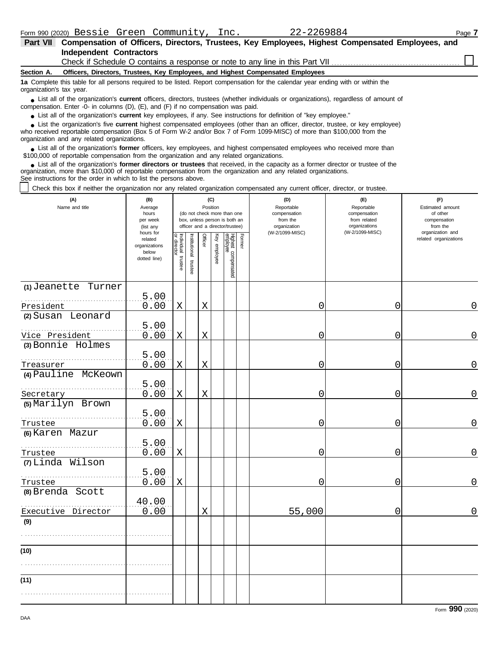| Part VII Compensation of Officers, Directors, Trustees, Key Employees, Highest Compensated Employees, and |  |
|-----------------------------------------------------------------------------------------------------------|--|
| Independent Contractors                                                                                   |  |
| Check if Schedule O contains a response or note to any line in this Part VII.                             |  |

#### **Section A. Officers, Directors, Trustees, Key Employees, and Highest Compensated Employees**

**1a** Complete this table for all persons required to be listed. Report compensation for the calendar year ending with or within the organization's tax year.

■ List all of the organization's **current** officers, directors, trustees (whether individuals or organizations), regardless of amount of the companies of amount of compensation. Enter -0- in columns (D), (E), and (F) if no compensation was paid.

● List all of the organization's **current** key employees, if any. See instructions for definition of "key employee."

■ List the organization's five **current** highest compensated employees (other than an officer, director, trustee, or key employee)<br> **•** Preceived reportable compensation (Box 5 of Form W.2 and/or Box 7 of Form 1000 MISC)

who received reportable compensation (Box 5 of Form W-2 and/or Box 7 of Form 1099-MISC) of more than \$100,000 from the organization and any related organizations.

■ List all of the organization's **former** officers, key employees, and highest compensated employees who received more than<br> **•** 00,000 of reportable compensation from the ergonization and any related ergonizations \$100,000 of reportable compensation from the organization and any related organizations.

■ List all of the organization's **former directors or trustees** that received, in the capacity as a former director or trustee of the<br>paization, more than \$10,000 of reportable compensation from the organization and any r organization, more than \$10,000 of reportable compensation from the organization and any related organizations. See instructions for the order in which to list the persons above.

Check this box if neither the organization nor any related organization compensated any current officer, director, or trustee.

| (A)<br>Name and title        | (B)<br>Average<br>hours<br>per week<br>(list any               | (C)<br>Position<br>(do not check more than one<br>box, unless person is both an<br>officer and a director/trustee) |                       |             |              |                                 |        | (D)<br>Reportable<br>compensation<br>from the<br>organization | (E)<br>Reportable<br>compensation<br>from related<br>organizations | (F)<br>Estimated amount<br>of other<br>compensation<br>from the |  |
|------------------------------|----------------------------------------------------------------|--------------------------------------------------------------------------------------------------------------------|-----------------------|-------------|--------------|---------------------------------|--------|---------------------------------------------------------------|--------------------------------------------------------------------|-----------------------------------------------------------------|--|
|                              | hours for<br>related<br>organizations<br>below<br>dotted line) | Individual trustee<br>or director                                                                                  | Institutional trustee | Officer     | Key employee | Highest compensated<br>employee | Former | (W-2/1099-MISC)                                               | (W-2/1099-MISC)                                                    | organization and<br>related organizations                       |  |
| (1) Jeanette Turner          | 5.00                                                           |                                                                                                                    |                       |             |              |                                 |        |                                                               |                                                                    |                                                                 |  |
| President                    | 0.00                                                           | X                                                                                                                  |                       | $\mathbf X$ |              |                                 |        | 0                                                             | 0                                                                  | 0                                                               |  |
| (2) Susan Leonard            |                                                                |                                                                                                                    |                       |             |              |                                 |        |                                                               |                                                                    |                                                                 |  |
|                              | 5.00                                                           |                                                                                                                    |                       |             |              |                                 |        |                                                               |                                                                    |                                                                 |  |
| Vice President               | 0.00                                                           | X                                                                                                                  |                       | X           |              |                                 |        | 0                                                             | 0                                                                  | 0                                                               |  |
| (3) Bonnie Holmes            |                                                                |                                                                                                                    |                       |             |              |                                 |        |                                                               |                                                                    |                                                                 |  |
| Treasurer                    | 5.00<br>0.00                                                   | X                                                                                                                  |                       | X           |              |                                 |        | 0                                                             | 0                                                                  | 0                                                               |  |
| (4) Pauline McKeown          |                                                                |                                                                                                                    |                       |             |              |                                 |        |                                                               |                                                                    |                                                                 |  |
| Secretary                    | 5.00<br>0.00                                                   | Χ                                                                                                                  |                       | $\mathbf X$ |              |                                 |        | 0                                                             | 0                                                                  | 0                                                               |  |
| (5) Marilyn Brown<br>Trustee | 5.00<br>0.00                                                   | Χ                                                                                                                  |                       |             |              |                                 |        | 0                                                             | 0                                                                  | 0                                                               |  |
| (6) Karen Mazur              |                                                                |                                                                                                                    |                       |             |              |                                 |        |                                                               |                                                                    |                                                                 |  |
| Trustee                      | 5.00<br>0.00                                                   | Χ                                                                                                                  |                       |             |              |                                 |        | 0                                                             | 0                                                                  | 0                                                               |  |
| (7) Linda Wilson             |                                                                |                                                                                                                    |                       |             |              |                                 |        |                                                               |                                                                    |                                                                 |  |
| Trustee                      | 5.00<br>0.00                                                   | X                                                                                                                  |                       |             |              |                                 |        | 0                                                             | 0                                                                  | 0                                                               |  |
| (8) Brenda Scott             |                                                                |                                                                                                                    |                       |             |              |                                 |        |                                                               |                                                                    |                                                                 |  |
| Executive Director           | 40.00<br>0.00                                                  |                                                                                                                    |                       | X           |              |                                 |        | 55,000                                                        | 0                                                                  | $\mathbf 0$                                                     |  |
| (9)                          |                                                                |                                                                                                                    |                       |             |              |                                 |        |                                                               |                                                                    |                                                                 |  |
| (10)                         |                                                                |                                                                                                                    |                       |             |              |                                 |        |                                                               |                                                                    |                                                                 |  |
|                              |                                                                |                                                                                                                    |                       |             |              |                                 |        |                                                               |                                                                    |                                                                 |  |
| (11)                         |                                                                |                                                                                                                    |                       |             |              |                                 |        |                                                               |                                                                    |                                                                 |  |
|                              |                                                                |                                                                                                                    |                       |             |              |                                 |        |                                                               |                                                                    |                                                                 |  |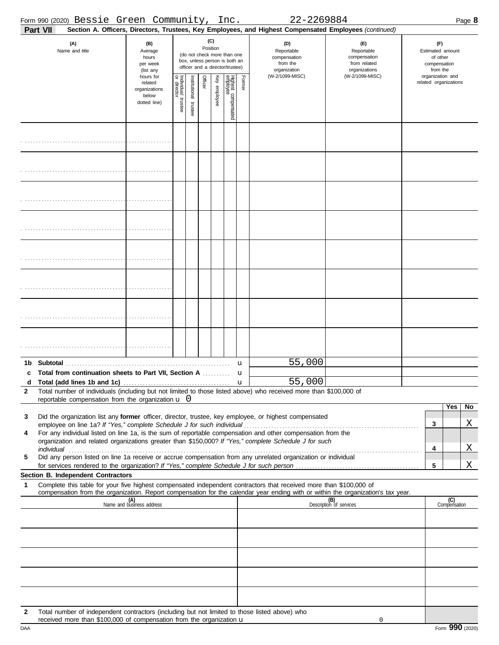|                   |                 | Form 990 (2020) Bessie Green Community, Inc.                                                                                                                          |                                                               |                                   |                       |          |              |                                                                                                 |              | 22-2269884                                                                                                                                                                                                                                             |                                                                                       |                                                                                     |                     | Page 8 |
|-------------------|-----------------|-----------------------------------------------------------------------------------------------------------------------------------------------------------------------|---------------------------------------------------------------|-----------------------------------|-----------------------|----------|--------------|-------------------------------------------------------------------------------------------------|--------------|--------------------------------------------------------------------------------------------------------------------------------------------------------------------------------------------------------------------------------------------------------|---------------------------------------------------------------------------------------|-------------------------------------------------------------------------------------|---------------------|--------|
|                   | <b>Part VII</b> |                                                                                                                                                                       |                                                               |                                   |                       |          |              |                                                                                                 |              | Section A. Officers, Directors, Trustees, Key Employees, and Highest Compensated Employees (continued)                                                                                                                                                 |                                                                                       |                                                                                     |                     |        |
|                   |                 | (A)<br>Name and title                                                                                                                                                 | (B)<br>Average<br>hours<br>per week<br>(list any<br>hours for |                                   |                       | Position | (C)          | (do not check more than one<br>box, unless person is both an<br>officer and a director/trustee) |              | (D)<br>Reportable<br>compensation<br>from the<br>organization<br>(W-2/1099-MISC)                                                                                                                                                                       | (E)<br>Reportable<br>compensation<br>from related<br>organizations<br>(W-2/1099-MISC) | (F)<br>Estimated amount<br>of other<br>compensation<br>from the<br>organization and |                     |        |
|                   |                 |                                                                                                                                                                       | related<br>organizations<br>below<br>dotted line)             | Individual trustee<br>or director | Institutional trustee | Officer  | Key employee | Highest compensated<br>employee                                                                 | Former       |                                                                                                                                                                                                                                                        |                                                                                       | related organizations                                                               |                     |        |
|                   |                 |                                                                                                                                                                       |                                                               |                                   |                       |          |              |                                                                                                 |              |                                                                                                                                                                                                                                                        |                                                                                       |                                                                                     |                     |        |
|                   |                 |                                                                                                                                                                       |                                                               |                                   |                       |          |              |                                                                                                 |              |                                                                                                                                                                                                                                                        |                                                                                       |                                                                                     |                     |        |
|                   |                 |                                                                                                                                                                       |                                                               |                                   |                       |          |              |                                                                                                 |              |                                                                                                                                                                                                                                                        |                                                                                       |                                                                                     |                     |        |
|                   |                 |                                                                                                                                                                       |                                                               |                                   |                       |          |              |                                                                                                 |              |                                                                                                                                                                                                                                                        |                                                                                       |                                                                                     |                     |        |
|                   |                 |                                                                                                                                                                       |                                                               |                                   |                       |          |              |                                                                                                 |              |                                                                                                                                                                                                                                                        |                                                                                       |                                                                                     |                     |        |
|                   |                 |                                                                                                                                                                       |                                                               |                                   |                       |          |              |                                                                                                 |              |                                                                                                                                                                                                                                                        |                                                                                       |                                                                                     |                     |        |
|                   |                 |                                                                                                                                                                       |                                                               |                                   |                       |          |              |                                                                                                 |              |                                                                                                                                                                                                                                                        |                                                                                       |                                                                                     |                     |        |
|                   |                 |                                                                                                                                                                       |                                                               |                                   |                       |          |              |                                                                                                 |              |                                                                                                                                                                                                                                                        |                                                                                       |                                                                                     |                     |        |
| 1b<br>c           |                 | Total from continuation sheets to Part VII, Section A                                                                                                                 |                                                               |                                   |                       |          |              |                                                                                                 | u<br>u       | 55,000                                                                                                                                                                                                                                                 |                                                                                       |                                                                                     |                     |        |
| d<br>$\mathbf{2}$ |                 | reportable compensation from the organization $\mathbf u$ 0                                                                                                           |                                                               |                                   |                       |          |              |                                                                                                 | $\mathbf{u}$ | 55,000<br>Total number of individuals (including but not limited to those listed above) who received more than \$100,000 of                                                                                                                            |                                                                                       |                                                                                     |                     |        |
| 3                 |                 |                                                                                                                                                                       |                                                               |                                   |                       |          |              |                                                                                                 |              | Did the organization list any former officer, director, trustee, key employee, or highest compensated                                                                                                                                                  |                                                                                       |                                                                                     | Yes                 | No     |
| 4                 |                 | employee on line 1a? If "Yes," complete Schedule J for such individual                                                                                                |                                                               |                                   |                       |          |              |                                                                                                 |              | For any individual listed on line 1a, is the sum of reportable compensation and other compensation from the                                                                                                                                            |                                                                                       | 3                                                                                   |                     | Χ      |
|                   | individual      |                                                                                                                                                                       |                                                               |                                   |                       |          |              |                                                                                                 |              | organization and related organizations greater than \$150,000? If "Yes," complete Schedule J for such                                                                                                                                                  |                                                                                       | 4                                                                                   |                     | Χ      |
| 5                 |                 |                                                                                                                                                                       |                                                               |                                   |                       |          |              |                                                                                                 |              | Did any person listed on line 1a receive or accrue compensation from any unrelated organization or individual                                                                                                                                          |                                                                                       | 5                                                                                   |                     | Χ      |
|                   |                 | Section B. Independent Contractors                                                                                                                                    |                                                               |                                   |                       |          |              |                                                                                                 |              |                                                                                                                                                                                                                                                        |                                                                                       |                                                                                     |                     |        |
| 1                 |                 |                                                                                                                                                                       |                                                               |                                   |                       |          |              |                                                                                                 |              | Complete this table for your five highest compensated independent contractors that received more than \$100,000 of<br>compensation from the organization. Report compensation for the calendar year ending with or within the organization's tax year. |                                                                                       |                                                                                     |                     |        |
|                   |                 |                                                                                                                                                                       | (A)<br>Name and business address                              |                                   |                       |          |              |                                                                                                 |              |                                                                                                                                                                                                                                                        | (B)<br>Description of services                                                        |                                                                                     | (C)<br>Compensation |        |
|                   |                 |                                                                                                                                                                       |                                                               |                                   |                       |          |              |                                                                                                 |              |                                                                                                                                                                                                                                                        |                                                                                       |                                                                                     |                     |        |
|                   |                 |                                                                                                                                                                       |                                                               |                                   |                       |          |              |                                                                                                 |              |                                                                                                                                                                                                                                                        |                                                                                       |                                                                                     |                     |        |
|                   |                 |                                                                                                                                                                       |                                                               |                                   |                       |          |              |                                                                                                 |              |                                                                                                                                                                                                                                                        |                                                                                       |                                                                                     |                     |        |
|                   |                 |                                                                                                                                                                       |                                                               |                                   |                       |          |              |                                                                                                 |              |                                                                                                                                                                                                                                                        |                                                                                       |                                                                                     |                     |        |
| 2                 |                 | Total number of independent contractors (including but not limited to those listed above) who<br>received more than \$100,000 of compensation from the organization u |                                                               |                                   |                       |          |              |                                                                                                 |              |                                                                                                                                                                                                                                                        | 0                                                                                     |                                                                                     |                     |        |

|     | <b>ICLCIVELITIOLE LIIGI</b><br>וויטו וויטווויסטווועט זע טעט.סטונט וויסטווויסט וויסטי |               |
|-----|--------------------------------------------------------------------------------------|---------------|
| DAA |                                                                                      | Form<br>2020) |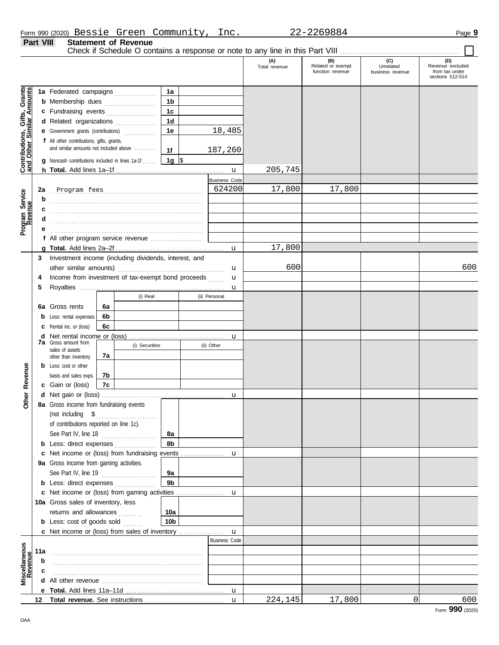|                  |                             | Form 990 (2020) Bessie Green Community, | 22-2269884 | Page 9 |
|------------------|-----------------------------|-----------------------------------------|------------|--------|
| <b>Part VIII</b> | <b>Statement of Revenue</b> |                                         |            |        |

Check if Schedule O contains a response or note to any line in this Part VIII . . . . . . . . . . . . . . . . . . . . . . . . . . . . . . . . . . . . . . . . . . . .

 $\Box$ 

|                                                                  |     |                                                       |          |                |                 |                      | (A)<br>Total revenue | (B)<br>Related or exempt<br>function revenue | (C)<br>Unrelated<br>business revenue | (D)<br>Revenue excluded<br>from tax under |
|------------------------------------------------------------------|-----|-------------------------------------------------------|----------|----------------|-----------------|----------------------|----------------------|----------------------------------------------|--------------------------------------|-------------------------------------------|
|                                                                  |     |                                                       |          |                |                 |                      |                      |                                              |                                      | sections 512-514                          |
|                                                                  |     | 1a Federated campaigns                                |          |                | 1a              |                      |                      |                                              |                                      |                                           |
|                                                                  |     | <b>b</b> Membership dues                              |          | .              | 1b              |                      |                      |                                              |                                      |                                           |
|                                                                  |     | c Fundraising events                                  |          |                | 1 <sub>c</sub>  |                      |                      |                                              |                                      |                                           |
|                                                                  |     | d Related organizations                               |          |                | 1 <sub>d</sub>  |                      |                      |                                              |                                      |                                           |
|                                                                  |     | <b>e</b> Government grants (contributions)            |          | .              | 1e              | 18,485               |                      |                                              |                                      |                                           |
|                                                                  |     | f All other contributions, gifts, grants,             |          |                |                 |                      |                      |                                              |                                      |                                           |
| <b>Contributions, Gifts, Grants</b><br>and Other Similar Amounts |     | and similar amounts not included above                |          |                | 1f              | 187,260              |                      |                                              |                                      |                                           |
|                                                                  |     | Noncash contributions included in lines 1a-1f         |          |                | 1g  \$          |                      |                      |                                              |                                      |                                           |
|                                                                  |     |                                                       |          |                |                 |                      | 205,745              |                                              |                                      |                                           |
|                                                                  |     |                                                       |          |                |                 | <b>Business Code</b> |                      |                                              |                                      |                                           |
|                                                                  | 2a  |                                                       |          |                |                 | 624200               | 17,800               | 17,800                                       |                                      |                                           |
| Program Service<br>Revenue                                       |     |                                                       |          |                |                 |                      |                      |                                              |                                      |                                           |
|                                                                  | c   |                                                       |          |                |                 |                      |                      |                                              |                                      |                                           |
|                                                                  |     |                                                       |          |                |                 |                      |                      |                                              |                                      |                                           |
|                                                                  |     |                                                       |          |                |                 |                      |                      |                                              |                                      |                                           |
|                                                                  |     | f All other program service revenue                   |          |                |                 |                      |                      |                                              |                                      |                                           |
|                                                                  |     |                                                       |          |                |                 | $\mathbf{u}$         | 17,800               |                                              |                                      |                                           |
|                                                                  | 3   | Investment income (including dividends, interest, and |          |                |                 |                      | 600                  |                                              |                                      | 600                                       |
|                                                                  |     | other similar amounts)                                |          |                |                 | u                    |                      |                                              |                                      |                                           |
|                                                                  | 4   | Income from investment of tax-exempt bond proceeds    |          |                |                 | u                    |                      |                                              |                                      |                                           |
|                                                                  | 5   |                                                       |          | (i) Real       |                 | u<br>(ii) Personal   |                      |                                              |                                      |                                           |
|                                                                  |     |                                                       |          |                |                 |                      |                      |                                              |                                      |                                           |
|                                                                  | 6а  | Gross rents                                           | 6a<br>6b |                |                 |                      |                      |                                              |                                      |                                           |
|                                                                  |     | Less: rental expenses<br>Rental inc. or (loss)        | 6с       |                |                 |                      |                      |                                              |                                      |                                           |
|                                                                  | d   |                                                       |          |                |                 | u                    |                      |                                              |                                      |                                           |
|                                                                  |     | <b>7a</b> Gross amount from                           |          | (i) Securities |                 | (ii) Other           |                      |                                              |                                      |                                           |
|                                                                  |     | sales of assets                                       | 7a       |                |                 |                      |                      |                                              |                                      |                                           |
|                                                                  |     | other than inventory<br><b>b</b> Less: cost or other  |          |                |                 |                      |                      |                                              |                                      |                                           |
|                                                                  |     | basis and sales exps.                                 | 7b       |                |                 |                      |                      |                                              |                                      |                                           |
| Revenue                                                          |     | c Gain or (loss)                                      | 7c       |                |                 |                      |                      |                                              |                                      |                                           |
|                                                                  |     |                                                       |          |                |                 | u                    |                      |                                              |                                      |                                           |
| Other                                                            |     | 8a Gross income from fundraising events               |          |                |                 |                      |                      |                                              |                                      |                                           |
|                                                                  |     |                                                       |          |                |                 |                      |                      |                                              |                                      |                                           |
|                                                                  |     | of contributions reported on line 1c).                |          |                |                 |                      |                      |                                              |                                      |                                           |
|                                                                  |     | See Part IV, line 18                                  |          |                | 8а              |                      |                      |                                              |                                      |                                           |
|                                                                  |     | <b>b</b> Less: direct expenses                        |          |                | 8b              |                      |                      |                                              |                                      |                                           |
|                                                                  |     |                                                       |          |                |                 |                      |                      |                                              |                                      |                                           |
|                                                                  |     | 9a Gross income from gaming activities.               |          |                |                 |                      |                      |                                              |                                      |                                           |
|                                                                  |     | See Part IV, line 19                                  |          |                | 9а              |                      |                      |                                              |                                      |                                           |
|                                                                  |     | <b>b</b> Less: direct expenses                        |          |                | 9 <sub>b</sub>  |                      |                      |                                              |                                      |                                           |
|                                                                  |     |                                                       |          |                |                 |                      |                      |                                              |                                      |                                           |
|                                                                  |     | 10a Gross sales of inventory, less                    |          |                |                 |                      |                      |                                              |                                      |                                           |
|                                                                  |     | returns and allowances                                |          | .              | 10a             |                      |                      |                                              |                                      |                                           |
|                                                                  |     | <b>b</b> Less: cost of goods sold $\ldots$            |          |                | 10 <sub>b</sub> |                      |                      |                                              |                                      |                                           |
|                                                                  |     |                                                       |          |                |                 | $\mathbf{u}$         |                      |                                              |                                      |                                           |
|                                                                  |     |                                                       |          |                |                 | <b>Business Code</b> |                      |                                              |                                      |                                           |
| Miscellaneous<br>Revenue                                         | 11a |                                                       |          |                |                 |                      |                      |                                              |                                      |                                           |
|                                                                  | b   |                                                       |          |                |                 |                      |                      |                                              |                                      |                                           |
|                                                                  |     |                                                       |          |                |                 |                      |                      |                                              |                                      |                                           |
|                                                                  | d   |                                                       |          |                |                 |                      |                      |                                              |                                      |                                           |
|                                                                  |     |                                                       |          |                |                 |                      | 224,145              |                                              | $\Omega$                             | 600                                       |
|                                                                  | 12  |                                                       |          |                |                 | $\mathbf{u}$         |                      | 17,800                                       |                                      |                                           |

Form **990** (2020)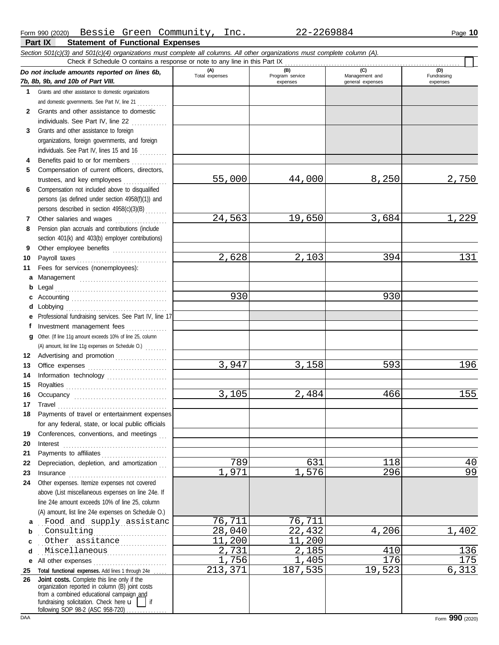**Part IX Statement of Functional Expenses**

|              | Section 501(c)(3) and 501(c)(4) organizations must complete all columns. All other organizations must complete column (A).<br>Check if Schedule O contains a response or note to any line in this Part IX                                                 |                       |                                    |                                    |                         |
|--------------|-----------------------------------------------------------------------------------------------------------------------------------------------------------------------------------------------------------------------------------------------------------|-----------------------|------------------------------------|------------------------------------|-------------------------|
|              |                                                                                                                                                                                                                                                           |                       |                                    | (C)                                | (D)                     |
|              | Do not include amounts reported on lines 6b,<br>7b, 8b, 9b, and 10b of Part VIII.                                                                                                                                                                         | (A)<br>Total expenses | (B)<br>Program service<br>expenses | Management and<br>general expenses | Fundraising<br>expenses |
| 1            | Grants and other assistance to domestic organizations                                                                                                                                                                                                     |                       |                                    |                                    |                         |
|              | and domestic governments. See Part IV, line 21                                                                                                                                                                                                            |                       |                                    |                                    |                         |
| $\mathbf{2}$ | Grants and other assistance to domestic                                                                                                                                                                                                                   |                       |                                    |                                    |                         |
|              | individuals. See Part IV, line 22                                                                                                                                                                                                                         |                       |                                    |                                    |                         |
| 3            | Grants and other assistance to foreign                                                                                                                                                                                                                    |                       |                                    |                                    |                         |
|              | organizations, foreign governments, and foreign                                                                                                                                                                                                           |                       |                                    |                                    |                         |
|              | individuals. See Part IV, lines 15 and 16                                                                                                                                                                                                                 |                       |                                    |                                    |                         |
| 4            | Benefits paid to or for members                                                                                                                                                                                                                           |                       |                                    |                                    |                         |
| 5            | Compensation of current officers, directors,                                                                                                                                                                                                              |                       |                                    |                                    |                         |
|              | trustees, and key employees                                                                                                                                                                                                                               | 55,000                | 44,000                             | 8,250                              | 2,750                   |
| 6            | Compensation not included above to disqualified                                                                                                                                                                                                           |                       |                                    |                                    |                         |
|              | persons (as defined under section 4958(f)(1)) and                                                                                                                                                                                                         |                       |                                    |                                    |                         |
|              | persons described in section 4958(c)(3)(B)                                                                                                                                                                                                                |                       |                                    |                                    |                         |
| 7            | Other salaries and wages<br>an an Dùbhlachd an Dùbhlachd a bhaile an Dùbhlachd an Dùbhlachd an Dùbhlachd an Dùbhlachd an Dùbhlachd an Dùbh                                                                                                                | 24,563                | 19,650                             | 3,684                              | 1,229                   |
| 8            | Pension plan accruals and contributions (include                                                                                                                                                                                                          |                       |                                    |                                    |                         |
|              | section 401(k) and 403(b) employer contributions)                                                                                                                                                                                                         |                       |                                    |                                    |                         |
| 9            | Other employee benefits                                                                                                                                                                                                                                   |                       |                                    |                                    |                         |
| 10           |                                                                                                                                                                                                                                                           | 2,628                 | 2,103                              | 394                                | 131                     |
| 11           | Fees for services (nonemployees):                                                                                                                                                                                                                         |                       |                                    |                                    |                         |
| a            | Management                                                                                                                                                                                                                                                |                       |                                    |                                    |                         |
| b            |                                                                                                                                                                                                                                                           |                       |                                    |                                    |                         |
|              |                                                                                                                                                                                                                                                           | 930                   |                                    | 930                                |                         |
| d            | Lobbying                                                                                                                                                                                                                                                  |                       |                                    |                                    |                         |
| е            | Professional fundraising services. See Part IV, line 17                                                                                                                                                                                                   |                       |                                    |                                    |                         |
| f            | Investment management fees                                                                                                                                                                                                                                |                       |                                    |                                    |                         |
| a            | Other. (If line 11g amount exceeds 10% of line 25, column                                                                                                                                                                                                 |                       |                                    |                                    |                         |
|              | (A) amount, list line 11g expenses on Schedule O.)                                                                                                                                                                                                        |                       |                                    |                                    |                         |
| 12           | Advertising and promotion                                                                                                                                                                                                                                 |                       |                                    |                                    | 196                     |
| 13           |                                                                                                                                                                                                                                                           | 3,947                 | 3,158                              | 593                                |                         |
| 14           | Information technology                                                                                                                                                                                                                                    |                       |                                    |                                    |                         |
| 15           |                                                                                                                                                                                                                                                           | 3,105                 | 2,484                              | 466                                | 155                     |
| 16<br>17     |                                                                                                                                                                                                                                                           |                       |                                    |                                    |                         |
| 18           | Payments of travel or entertainment expenses                                                                                                                                                                                                              |                       |                                    |                                    |                         |
|              | for any federal, state, or local public officials                                                                                                                                                                                                         |                       |                                    |                                    |                         |
| 19           | Conferences, conventions, and meetings                                                                                                                                                                                                                    |                       |                                    |                                    |                         |
| 20           | $\textbf{Interest} \hspace{0.05in} \ldots \hspace{0.05in} \ldots \hspace{0.05in} \ldots \hspace{0.05in} \ldots \hspace{0.05in} \ldots \hspace{0.05in} \ldots \hspace{0.05in} \ldots \hspace{0.05in} \ldots \hspace{0.05in} \ldots \hspace{0.05in} \ldots$ |                       |                                    |                                    |                         |
| 21           |                                                                                                                                                                                                                                                           |                       |                                    |                                    |                         |
| 22           | Depreciation, depletion, and amortization                                                                                                                                                                                                                 | 789                   | 631                                | 118                                | 40                      |
| 23           |                                                                                                                                                                                                                                                           | 1,971                 | 1,576                              | 296                                | 99                      |
| 24           | Other expenses. Itemize expenses not covered                                                                                                                                                                                                              |                       |                                    |                                    |                         |
|              | above (List miscellaneous expenses on line 24e. If                                                                                                                                                                                                        |                       |                                    |                                    |                         |
|              | line 24e amount exceeds 10% of line 25, column                                                                                                                                                                                                            |                       |                                    |                                    |                         |
|              | (A) amount, list line 24e expenses on Schedule O.)                                                                                                                                                                                                        |                       |                                    |                                    |                         |
| a            | Food and supply assistanc                                                                                                                                                                                                                                 | 76,711                | 76,711                             |                                    |                         |
| b            | Consulting                                                                                                                                                                                                                                                | 28,040                | 22,432                             | 4,206                              | 1,402                   |
| c            | Other assitance                                                                                                                                                                                                                                           | 11,200                | 11,200                             |                                    |                         |
| d            | Miscellaneous                                                                                                                                                                                                                                             | 2,731                 | 2,185                              | 410                                | 136                     |
| е            | All other expenses                                                                                                                                                                                                                                        | 1,756                 | 1,405                              | 176                                | 175                     |
| 25           | Total functional expenses. Add lines 1 through 24e                                                                                                                                                                                                        | 213,371               | 187,535                            | 19,523                             | 6,313                   |
| 26           | Joint costs. Complete this line only if the<br>organization reported in column (B) joint costs<br>from a combined educational campaign and                                                                                                                |                       |                                    |                                    |                         |
|              | fundraising solicitation. Check here $\mathbf{u}$<br>$\overline{\phantom{a}}$ if<br>following SOP 98-2 (ASC 958-720)                                                                                                                                      |                       |                                    |                                    |                         |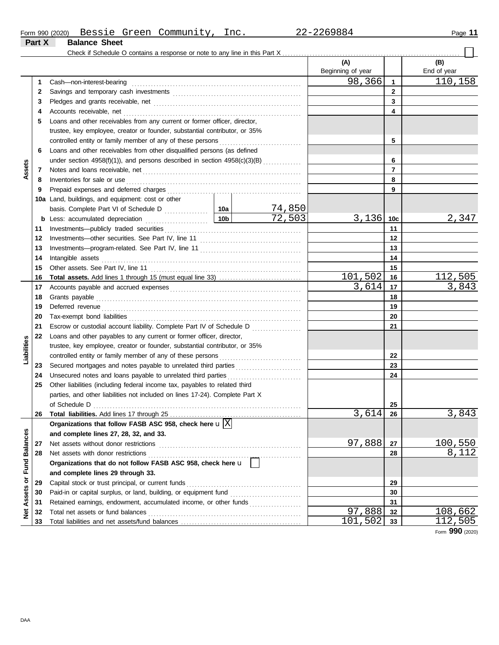|                         |          |                                                                                                                                          |                                                                           |                                            | (A)<br>Beginning of year |                | (B)<br>End of year       |  |  |  |  |
|-------------------------|----------|------------------------------------------------------------------------------------------------------------------------------------------|---------------------------------------------------------------------------|--------------------------------------------|--------------------------|----------------|--------------------------|--|--|--|--|
|                         | 1        | Cash-non-interest-bearing                                                                                                                |                                                                           |                                            | 98, 366                  | $\mathbf{1}$   | 110, 158                 |  |  |  |  |
|                         | 2        |                                                                                                                                          |                                                                           |                                            |                          | $\mathbf{2}$   |                          |  |  |  |  |
|                         | 3        |                                                                                                                                          |                                                                           |                                            |                          | 3              |                          |  |  |  |  |
|                         | 4        | Accounts receivable, net                                                                                                                 |                                                                           |                                            |                          | 4              |                          |  |  |  |  |
|                         | 5        | Loans and other receivables from any current or former officer, director,                                                                |                                                                           |                                            |                          |                |                          |  |  |  |  |
|                         |          | trustee, key employee, creator or founder, substantial contributor, or 35%                                                               |                                                                           |                                            |                          |                |                          |  |  |  |  |
|                         |          | controlled entity or family member of any of these persons                                                                               |                                                                           |                                            |                          | 5              |                          |  |  |  |  |
|                         | 6        | Loans and other receivables from other disqualified persons (as defined                                                                  |                                                                           |                                            |                          |                |                          |  |  |  |  |
|                         |          |                                                                                                                                          | under section 4958(f)(1)), and persons described in section 4958(c)(3)(B) |                                            |                          |                |                          |  |  |  |  |
| Assets                  | 7        |                                                                                                                                          |                                                                           |                                            |                          | $\overline{7}$ |                          |  |  |  |  |
|                         | 8        | Inventories for sale or use                                                                                                              |                                                                           |                                            |                          | 8              |                          |  |  |  |  |
|                         | 9        |                                                                                                                                          |                                                                           |                                            |                          | 9              |                          |  |  |  |  |
|                         |          | 10a Land, buildings, and equipment: cost or other                                                                                        |                                                                           |                                            |                          |                |                          |  |  |  |  |
|                         |          |                                                                                                                                          |                                                                           |                                            |                          |                |                          |  |  |  |  |
|                         |          |                                                                                                                                          |                                                                           | $\frac{74,850}{72,503}$                    | 3,136                    | 10c            | 2,347                    |  |  |  |  |
|                         | 11       |                                                                                                                                          |                                                                           |                                            |                          | 11             |                          |  |  |  |  |
|                         | 12       |                                                                                                                                          |                                                                           |                                            |                          | 12             |                          |  |  |  |  |
|                         | 13       |                                                                                                                                          |                                                                           |                                            |                          | 13             |                          |  |  |  |  |
|                         | 14       | Intangible assets                                                                                                                        |                                                                           |                                            |                          | 14             |                          |  |  |  |  |
|                         | 15       | Other assets. See Part IV, line 11                                                                                                       |                                                                           |                                            |                          | 15             |                          |  |  |  |  |
|                         | 16       |                                                                                                                                          |                                                                           |                                            | 101,502                  | 16             |                          |  |  |  |  |
|                         | 17       |                                                                                                                                          |                                                                           |                                            | $\overline{3}$ , 614     | 17             | $\frac{112,505}{3,843}$  |  |  |  |  |
|                         | 18       | Grants payable                                                                                                                           |                                                                           |                                            |                          | 18             |                          |  |  |  |  |
|                         | 19       | Deferred revenue                                                                                                                         |                                                                           |                                            | 19                       |                |                          |  |  |  |  |
|                         | 20       | Tax-exempt bond liabilities                                                                                                              |                                                                           |                                            | 20                       |                |                          |  |  |  |  |
|                         | 21       | Escrow or custodial account liability. Complete Part IV of Schedule D                                                                    |                                                                           |                                            |                          | 21             |                          |  |  |  |  |
|                         | 22       | Loans and other payables to any current or former officer, director,                                                                     |                                                                           | <u> 1999 - Johann John Stoff, market f</u> |                          |                |                          |  |  |  |  |
| Liabilities             |          |                                                                                                                                          |                                                                           |                                            |                          |                |                          |  |  |  |  |
|                         |          | trustee, key employee, creator or founder, substantial contributor, or 35%<br>controlled entity or family member of any of these persons |                                                                           |                                            |                          | 22             |                          |  |  |  |  |
|                         | 23       |                                                                                                                                          |                                                                           |                                            |                          | 23             |                          |  |  |  |  |
|                         |          | Secured mortgages and notes payable to unrelated third parties [111] Secured mortgages and notes payable to unrelated third parties      |                                                                           |                                            |                          |                |                          |  |  |  |  |
|                         | 24<br>25 | Other liabilities (including federal income tax, payables to related third                                                               |                                                                           |                                            |                          | 24             |                          |  |  |  |  |
|                         |          | parties, and other liabilities not included on lines 17-24). Complete Part X                                                             |                                                                           |                                            |                          |                |                          |  |  |  |  |
|                         |          |                                                                                                                                          |                                                                           |                                            |                          |                |                          |  |  |  |  |
|                         |          |                                                                                                                                          |                                                                           |                                            | 3,614                    | 25             | 3,843                    |  |  |  |  |
|                         | 26       | Organizations that follow FASB ASC 958, check here $\mathbf{u}$ $ \mathrm{X} $                                                           |                                                                           |                                            |                          | 26             |                          |  |  |  |  |
|                         |          |                                                                                                                                          |                                                                           |                                            |                          |                |                          |  |  |  |  |
|                         |          | and complete lines 27, 28, 32, and 33.                                                                                                   |                                                                           |                                            | 97,888                   |                |                          |  |  |  |  |
|                         | 27       | Net assets without donor restrictions                                                                                                    |                                                                           |                                            |                          | 27             | <u> 100,550</u><br>8,112 |  |  |  |  |
|                         | 28       | Net assets with donor restrictions                                                                                                       |                                                                           |                                            |                          | 28             |                          |  |  |  |  |
|                         |          | Organizations that do not follow FASB ASC 958, check here u                                                                              |                                                                           |                                            |                          |                |                          |  |  |  |  |
| Assets or Fund Balances |          | and complete lines 29 through 33.                                                                                                        |                                                                           |                                            |                          |                |                          |  |  |  |  |
|                         | 29       | Capital stock or trust principal, or current funds                                                                                       |                                                                           |                                            |                          | 29             |                          |  |  |  |  |
|                         | 30       |                                                                                                                                          |                                                                           |                                            |                          | 30             |                          |  |  |  |  |
|                         | 31       | Retained earnings, endowment, accumulated income, or other funds                                                                         |                                                                           |                                            |                          | 31             |                          |  |  |  |  |
| ğ                       | 32       | Total net assets or fund balances                                                                                                        |                                                                           |                                            | 97,888                   | 32             | 108,662                  |  |  |  |  |
|                         | 33       |                                                                                                                                          |                                                                           |                                            | 101,502                  | 33             | 112,505                  |  |  |  |  |

Form **990** (2020)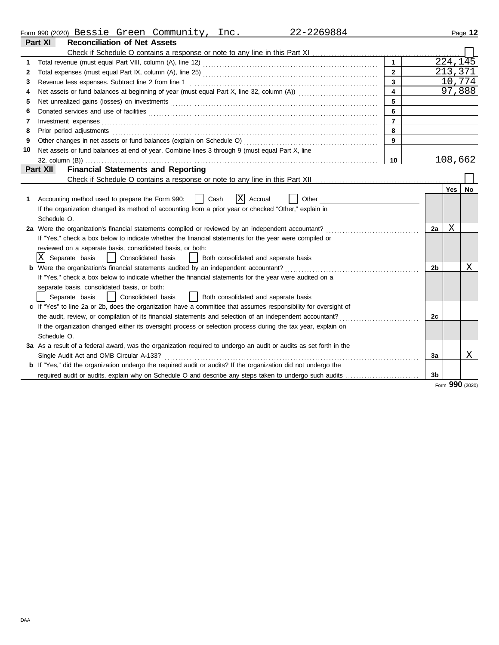|  | Form 990 | (2020) ،<br>Bessie | Greer | Community | ຳ<br>. | 9884<br>46<br><i></i> | Page |
|--|----------|--------------------|-------|-----------|--------|-----------------------|------|
|--|----------|--------------------|-------|-----------|--------|-----------------------|------|

|    | Part XI<br><b>Reconciliation of Net Assets</b>                                                                        |                         |                |                 |    |
|----|-----------------------------------------------------------------------------------------------------------------------|-------------------------|----------------|-----------------|----|
|    |                                                                                                                       |                         |                |                 |    |
| 1. |                                                                                                                       |                         |                | 224, 145        |    |
| 2  |                                                                                                                       | $\mathbf{2}$            |                | 213,371         |    |
| 3  |                                                                                                                       | $\mathbf{3}$            |                | 10,774          |    |
| 4  |                                                                                                                       | $\overline{\mathbf{4}}$ |                | 97,888          |    |
| 5  |                                                                                                                       | 5                       |                |                 |    |
| 6  |                                                                                                                       | 6                       |                |                 |    |
| 7  | Investment expenses                                                                                                   | $\overline{7}$          |                |                 |    |
| 8  | Prior period adjustments                                                                                              | 8                       |                |                 |    |
| 9  | Other changes in net assets or fund balances (explain on Schedule O)                                                  | 9                       |                |                 |    |
| 10 | Net assets or fund balances at end of year. Combine lines 3 through 9 (must equal Part X, line                        |                         |                |                 |    |
|    | $32$ , column $(B)$ )                                                                                                 | 10                      |                | 108,662         |    |
|    | <b>Financial Statements and Reporting</b><br>Part XII                                                                 |                         |                |                 |    |
|    |                                                                                                                       |                         |                |                 |    |
|    |                                                                                                                       |                         |                | <b>Yes</b>      | No |
| 1  | ΙXΙ<br>Accounting method used to prepare the Form 990:<br>Cash<br>Accrual<br>Other                                    |                         |                |                 |    |
|    | If the organization changed its method of accounting from a prior year or checked "Other," explain in                 |                         |                |                 |    |
|    | Schedule O.                                                                                                           |                         |                |                 |    |
|    | 2a Were the organization's financial statements compiled or reviewed by an independent accountant?                    |                         | 2a             | Χ               |    |
|    | If "Yes," check a box below to indicate whether the financial statements for the year were compiled or                |                         |                |                 |    |
|    | reviewed on a separate basis, consolidated basis, or both:                                                            |                         |                |                 |    |
|    | X  Separate basis<br>  Consolidated basis<br>Both consolidated and separate basis                                     |                         |                |                 |    |
|    | <b>b</b> Were the organization's financial statements audited by an independent accountant?                           |                         | 2b             |                 | х  |
|    | If "Yes," check a box below to indicate whether the financial statements for the year were audited on a               |                         |                |                 |    |
|    | separate basis, consolidated basis, or both:                                                                          |                         |                |                 |    |
|    | Separate basis<br>Consolidated basis<br>  Both consolidated and separate basis                                        |                         |                |                 |    |
|    | c If "Yes" to line 2a or 2b, does the organization have a committee that assumes responsibility for oversight of      |                         |                |                 |    |
|    |                                                                                                                       |                         | 2c             |                 |    |
|    | If the organization changed either its oversight process or selection process during the tax year, explain on         |                         |                |                 |    |
|    | Schedule O.                                                                                                           |                         |                |                 |    |
|    | 3a As a result of a federal award, was the organization required to undergo an audit or audits as set forth in the    |                         |                |                 |    |
|    | Single Audit Act and OMB Circular A-133?                                                                              |                         | 3a             |                 | Χ  |
|    | <b>b</b> If "Yes," did the organization undergo the required audit or audits? If the organization did not undergo the |                         |                |                 |    |
|    | required audit or audits, explain why on Schedule O and describe any steps taken to undergo such audits               |                         | 3 <sub>b</sub> |                 |    |
|    |                                                                                                                       |                         |                | Form 990 (2020) |    |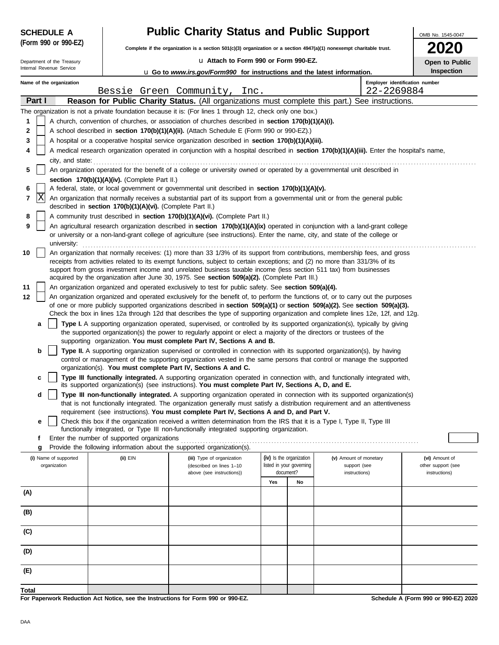| <b>SCHEDULE A</b>                     |                                                            | <b>Public Charity Status and Public Support</b>                                                                                                                                                                                                                 |                                                      |    |                                        | OMB No. 1545-0047                    |  |  |  |
|---------------------------------------|------------------------------------------------------------|-----------------------------------------------------------------------------------------------------------------------------------------------------------------------------------------------------------------------------------------------------------------|------------------------------------------------------|----|----------------------------------------|--------------------------------------|--|--|--|
| (Form 990 or 990-EZ)                  |                                                            | Complete if the organization is a section 501(c)(3) organization or a section 4947(a)(1) nonexempt charitable trust.                                                                                                                                            |                                                      |    |                                        |                                      |  |  |  |
| Department of the Treasury            |                                                            | u Attach to Form 990 or Form 990-EZ.                                                                                                                                                                                                                            | Open to Public                                       |    |                                        |                                      |  |  |  |
| Internal Revenue Service              |                                                            | <b>u</b> Go to www.irs.gov/Form990 for instructions and the latest information.                                                                                                                                                                                 |                                                      |    |                                        | Inspection                           |  |  |  |
| Name of the organization              |                                                            |                                                                                                                                                                                                                                                                 |                                                      |    | Employer identification number         |                                      |  |  |  |
| Part I                                |                                                            | Bessie Green Community, Inc.<br>Reason for Public Charity Status. (All organizations must complete this part.) See instructions.                                                                                                                                |                                                      |    | 22-2269884                             |                                      |  |  |  |
|                                       |                                                            | The organization is not a private foundation because it is: (For lines 1 through 12, check only one box.)                                                                                                                                                       |                                                      |    |                                        |                                      |  |  |  |
| 1                                     |                                                            | A church, convention of churches, or association of churches described in section 170(b)(1)(A)(i).                                                                                                                                                              |                                                      |    |                                        |                                      |  |  |  |
| $\mathbf 2$                           |                                                            | A school described in section 170(b)(1)(A)(ii). (Attach Schedule E (Form 990 or 990-EZ).)                                                                                                                                                                       |                                                      |    |                                        |                                      |  |  |  |
| 3                                     |                                                            | A hospital or a cooperative hospital service organization described in section 170(b)(1)(A)(iii).                                                                                                                                                               |                                                      |    |                                        |                                      |  |  |  |
| 4                                     |                                                            | A medical research organization operated in conjunction with a hospital described in section 170(b)(1)(A)(iii). Enter the hospital's name,                                                                                                                      |                                                      |    |                                        |                                      |  |  |  |
| city, and state:                      |                                                            |                                                                                                                                                                                                                                                                 |                                                      |    |                                        |                                      |  |  |  |
| 5                                     | section 170(b)(1)(A)(iv). (Complete Part II.)              | An organization operated for the benefit of a college or university owned or operated by a governmental unit described in                                                                                                                                       |                                                      |    |                                        |                                      |  |  |  |
| 6                                     |                                                            | A federal, state, or local government or governmental unit described in section 170(b)(1)(A)(v).                                                                                                                                                                |                                                      |    |                                        |                                      |  |  |  |
| ΙX<br>7                               |                                                            | An organization that normally receives a substantial part of its support from a governmental unit or from the general public                                                                                                                                    |                                                      |    |                                        |                                      |  |  |  |
|                                       | described in section 170(b)(1)(A)(vi). (Complete Part II.) |                                                                                                                                                                                                                                                                 |                                                      |    |                                        |                                      |  |  |  |
| 8<br>9                                |                                                            | A community trust described in section 170(b)(1)(A)(vi). (Complete Part II.)<br>An agricultural research organization described in section 170(b)(1)(A)(ix) operated in conjunction with a land-grant college                                                   |                                                      |    |                                        |                                      |  |  |  |
|                                       |                                                            | or university or a non-land-grant college of agriculture (see instructions). Enter the name, city, and state of the college or                                                                                                                                  |                                                      |    |                                        |                                      |  |  |  |
| university:                           |                                                            |                                                                                                                                                                                                                                                                 |                                                      |    |                                        |                                      |  |  |  |
| 10                                    |                                                            | An organization that normally receives: (1) more than 33 1/3% of its support from contributions, membership fees, and gross                                                                                                                                     |                                                      |    |                                        |                                      |  |  |  |
|                                       |                                                            | receipts from activities related to its exempt functions, subject to certain exceptions; and (2) no more than 331/3% of its<br>support from gross investment income and unrelated business taxable income (less section 511 tax) from businesses                |                                                      |    |                                        |                                      |  |  |  |
|                                       |                                                            | acquired by the organization after June 30, 1975. See section 509(a)(2). (Complete Part III.)                                                                                                                                                                   |                                                      |    |                                        |                                      |  |  |  |
| 11                                    |                                                            | An organization organized and operated exclusively to test for public safety. See section 509(a)(4).                                                                                                                                                            |                                                      |    |                                        |                                      |  |  |  |
| 12                                    |                                                            | An organization organized and operated exclusively for the benefit of, to perform the functions of, or to carry out the purposes<br>of one or more publicly supported organizations described in section 509(a)(1) or section 509(a)(2). See section 509(a)(3). |                                                      |    |                                        |                                      |  |  |  |
|                                       |                                                            | Check the box in lines 12a through 12d that describes the type of supporting organization and complete lines 12e, 12f, and 12g.                                                                                                                                 |                                                      |    |                                        |                                      |  |  |  |
| a                                     |                                                            | Type I. A supporting organization operated, supervised, or controlled by its supported organization(s), typically by giving                                                                                                                                     |                                                      |    |                                        |                                      |  |  |  |
|                                       |                                                            | the supported organization(s) the power to regularly appoint or elect a majority of the directors or trustees of the                                                                                                                                            |                                                      |    |                                        |                                      |  |  |  |
| b                                     |                                                            | supporting organization. You must complete Part IV, Sections A and B.<br>Type II. A supporting organization supervised or controlled in connection with its supported organization(s), by having                                                                |                                                      |    |                                        |                                      |  |  |  |
|                                       |                                                            | control or management of the supporting organization vested in the same persons that control or manage the supported                                                                                                                                            |                                                      |    |                                        |                                      |  |  |  |
|                                       |                                                            | organization(s). You must complete Part IV, Sections A and C.                                                                                                                                                                                                   |                                                      |    |                                        |                                      |  |  |  |
| c                                     |                                                            | Type III functionally integrated. A supporting organization operated in connection with, and functionally integrated with,<br>its supported organization(s) (see instructions). You must complete Part IV, Sections A, D, and E.                                |                                                      |    |                                        |                                      |  |  |  |
| d                                     |                                                            | Type III non-functionally integrated. A supporting organization operated in connection with its supported organization(s)                                                                                                                                       |                                                      |    |                                        |                                      |  |  |  |
|                                       |                                                            | that is not functionally integrated. The organization generally must satisfy a distribution requirement and an attentiveness                                                                                                                                    |                                                      |    |                                        |                                      |  |  |  |
|                                       |                                                            | requirement (see instructions). You must complete Part IV, Sections A and D, and Part V.                                                                                                                                                                        |                                                      |    |                                        |                                      |  |  |  |
| е                                     |                                                            | Check this box if the organization received a written determination from the IRS that it is a Type I, Type II, Type III<br>functionally integrated, or Type III non-functionally integrated supporting organization.                                            |                                                      |    |                                        |                                      |  |  |  |
| f                                     | Enter the number of supported organizations                |                                                                                                                                                                                                                                                                 |                                                      |    |                                        |                                      |  |  |  |
| g                                     |                                                            | Provide the following information about the supported organization(s).                                                                                                                                                                                          |                                                      |    |                                        |                                      |  |  |  |
| (i) Name of supported<br>organization | (ii) EIN                                                   | (iii) Type of organization<br>(described on lines 1-10                                                                                                                                                                                                          | (iv) Is the organization<br>listed in your governing |    | (v) Amount of monetary<br>support (see | (vi) Amount of<br>other support (see |  |  |  |
|                                       |                                                            | above (see instructions))                                                                                                                                                                                                                                       | document?                                            |    | instructions)                          | instructions)                        |  |  |  |
|                                       |                                                            |                                                                                                                                                                                                                                                                 | Yes                                                  | No |                                        |                                      |  |  |  |
| (A)                                   |                                                            |                                                                                                                                                                                                                                                                 |                                                      |    |                                        |                                      |  |  |  |
| (B)                                   |                                                            |                                                                                                                                                                                                                                                                 |                                                      |    |                                        |                                      |  |  |  |
|                                       |                                                            |                                                                                                                                                                                                                                                                 |                                                      |    |                                        |                                      |  |  |  |
| (C)                                   |                                                            |                                                                                                                                                                                                                                                                 |                                                      |    |                                        |                                      |  |  |  |
|                                       |                                                            |                                                                                                                                                                                                                                                                 |                                                      |    |                                        |                                      |  |  |  |
| (D)                                   |                                                            |                                                                                                                                                                                                                                                                 |                                                      |    |                                        |                                      |  |  |  |
|                                       |                                                            |                                                                                                                                                                                                                                                                 |                                                      |    |                                        |                                      |  |  |  |
| (E)                                   |                                                            |                                                                                                                                                                                                                                                                 |                                                      |    |                                        |                                      |  |  |  |
| Total                                 |                                                            |                                                                                                                                                                                                                                                                 |                                                      |    |                                        |                                      |  |  |  |
|                                       |                                                            | For Paperwork Reduction Act Notice, see the Instructions for Form 990 or 990-F7                                                                                                                                                                                 |                                                      |    |                                        | Schedule A (Form 990 or 990-F7) 2020 |  |  |  |

**For Paperwork Reduction Act Notice, see the Instructions for Form 990 or 990-EZ.**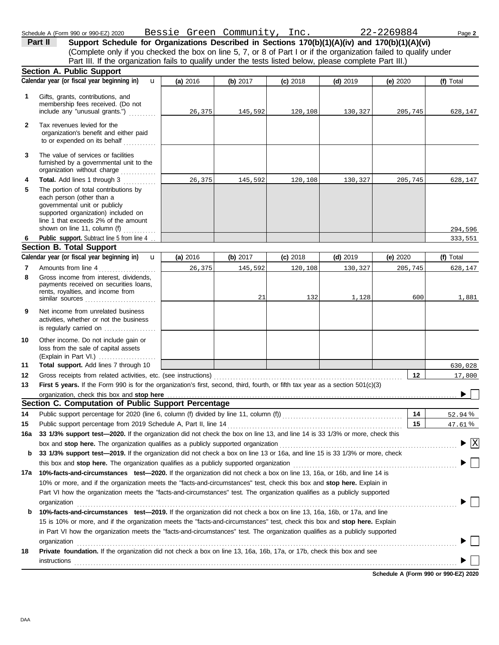governmental unit or publicly **Section A. Public Support** Gross income from interest, dividends, line 1 that exceeds 2% of the amount supported organization) included on each person (other than a The portion of total contributions by **Total.** Add lines 1 through 3 . . . . . . . . . . The value of services or facilities to or expended on its behalf . . . . . . . . . . . . organization's benefit and either paid Tax revenues levied for the Amounts from line 4 . . . . . . . . . . . . . . . . . . . . . Public support. Subtract line 5 from line 4 ... include any "unusual grants.") . . . . . . . . . . membership fees received. (Do not Gifts, grants, contributions, and Schedule A (Form 990 or 990-EZ) 2020 Page **2** Bessie Green Community, Inc. 22-2269884 **(a)** 2016 **(b)** 2017 **(c)** 2018 **(d)** 2019 **(e)** 2020 (Complete only if you checked the box on line 5, 7, or 8 of Part I or if the organization failed to qualify under **Part II** Support Schedule for Organizations Described in Sections 170(b)(1)(A)(iv) and 170(b)(1)(A)(vi) **Calendar year (or fiscal year beginning in) <b>u** (a) 2016 (b) 2017 (c) 2018 (d) 2019 (e) 2020 (f) Total furnished by a governmental unit to the organization without charge *. . . . . . . .* . . . Part III. If the organization fails to qualify under the tests listed below, please complete Part III.) **(a)** 2016 shown on line 11, column (f) . . . . . . . . . . . . u **(b)** 2017 **(c)** 2018 **(d)** 2019 **(e)** 2020  $\overline{u}$ 

| 1        | Gifts, grants, contributions, and<br>membership fees received. (Do not<br>include any "unusual grants.")<br>.                                                                                                      | 26,375   | 145,592  | 120,108    | 130,327    | 205,745                              | 628,147                            |
|----------|--------------------------------------------------------------------------------------------------------------------------------------------------------------------------------------------------------------------|----------|----------|------------|------------|--------------------------------------|------------------------------------|
| 2        | Tax revenues levied for the<br>organization's benefit and either paid<br>to or expended on its behalf<br>.                                                                                                         |          |          |            |            |                                      |                                    |
| 3        | The value of services or facilities<br>furnished by a governmental unit to the<br>organization without charge                                                                                                      |          |          |            |            |                                      |                                    |
| 4        | Total. Add lines 1 through 3                                                                                                                                                                                       | 26,375   | 145,592  | 120,108    | 130,327    | 205,745                              | 628,147                            |
| 5        | The portion of total contributions by<br>each person (other than a<br>governmental unit or publicly<br>supported organization) included on<br>line 1 that exceeds 2% of the amount<br>shown on line 11, column (f) |          |          |            |            |                                      |                                    |
| 6        | Public support. Subtract line 5 from line 4                                                                                                                                                                        |          |          |            |            |                                      | 294,596<br>333,551                 |
|          | <b>Section B. Total Support</b>                                                                                                                                                                                    |          |          |            |            |                                      |                                    |
|          | Calendar year (or fiscal year beginning in)<br>u                                                                                                                                                                   | (a) 2016 | (b) 2017 | $(c)$ 2018 | $(d)$ 2019 | (e) 2020                             | (f) Total                          |
| 7        | Amounts from line 4<br>.                                                                                                                                                                                           | 26,375   | 145,592  | 120,108    | 130,327    | 205,745                              | 628,147                            |
| 8        | Gross income from interest, dividends,<br>payments received on securities loans,<br>rents, royalties, and income from<br>similar sources                                                                           |          | 21       | 132        | 1,128      | 600                                  | 1,881                              |
| 9        | Net income from unrelated business<br>activities, whether or not the business<br>is regularly carried on                                                                                                           |          |          |            |            |                                      |                                    |
| 10       | Other income. Do not include gain or<br>loss from the sale of capital assets                                                                                                                                       |          |          |            |            |                                      |                                    |
| 11       | Total support. Add lines 7 through 10                                                                                                                                                                              |          |          |            |            |                                      | 630,028                            |
| 12       | Gross receipts from related activities, etc. (see instructions)                                                                                                                                                    |          |          |            |            | $12 \,$                              | 17,800                             |
| 13       | First 5 years. If the Form 990 is for the organization's first, second, third, fourth, or fifth tax year as a section 501(c)(3)                                                                                    |          |          |            |            |                                      |                                    |
|          | organization, check this box and stop here<br>Section C. Computation of Public Support Percentage                                                                                                                  |          |          |            |            |                                      |                                    |
|          |                                                                                                                                                                                                                    |          |          |            |            |                                      |                                    |
| 14<br>15 | Public support percentage from 2019 Schedule A, Part II, line 14                                                                                                                                                   |          |          |            |            | 14<br>15                             | 52.94%                             |
| 16a      | 33 1/3% support test-2020. If the organization did not check the box on line 13, and line 14 is 33 1/3% or more, check this                                                                                        |          |          |            |            |                                      | 47.61%                             |
|          |                                                                                                                                                                                                                    |          |          |            |            |                                      | $\blacktriangleright \overline{X}$ |
| b        | box and stop here. The organization qualifies as a publicly supported organization<br>33 1/3% support test-2019. If the organization did not check a box on line 13 or 16a, and line 15 is 33 1/3% or more, check  |          |          |            |            |                                      |                                    |
|          |                                                                                                                                                                                                                    |          |          |            |            |                                      |                                    |
| 17a      | 10%-facts-and-circumstances test-2020. If the organization did not check a box on line 13, 16a, or 16b, and line 14 is                                                                                             |          |          |            |            |                                      |                                    |
|          | 10% or more, and if the organization meets the "facts-and-circumstances" test, check this box and stop here. Explain in                                                                                            |          |          |            |            |                                      |                                    |
|          | Part VI how the organization meets the "facts-and-circumstances" test. The organization qualifies as a publicly supported<br>organization                                                                          |          |          |            |            |                                      |                                    |
| b        | 10%-facts-and-circumstances test-2019. If the organization did not check a box on line 13, 16a, 16b, or 17a, and line                                                                                              |          |          |            |            |                                      |                                    |
|          | 15 is 10% or more, and if the organization meets the "facts-and-circumstances" test, check this box and stop here. Explain                                                                                         |          |          |            |            |                                      |                                    |
|          | in Part VI how the organization meets the "facts-and-circumstances" test. The organization qualifies as a publicly supported                                                                                       |          |          |            |            |                                      |                                    |
| 18       | Private foundation. If the organization did not check a box on line 13, 16a, 16b, 17a, or 17b, check this box and see<br>instructions                                                                              |          |          |            |            |                                      |                                    |
|          |                                                                                                                                                                                                                    |          |          |            |            | Schedule A (Form 990 or 990-EZ) 2020 |                                    |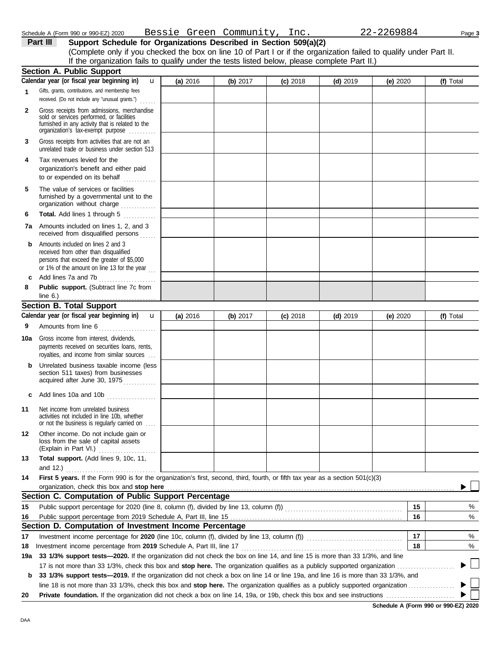DAA

| (Complete only if you criecked the box on line TO or Part For      |              |          |          |  |
|--------------------------------------------------------------------|--------------|----------|----------|--|
| If the organization fails to qualify under the tests listed belove |              |          |          |  |
| <b>Section A. Public Support</b>                                   |              |          |          |  |
| Calendar year (or fiscal year beginning in)                        | $\mathbf{u}$ | (a) 2016 | (b) 2017 |  |
| Gifts, grants, contributions, and membership fees                  |              |          |          |  |

**Schedule A (Form 990 or 990-EZ) 2020**

**Part III** Support Schedule for Organizations Described in Section 509(a)(2) (Complete only if you checked the box on line 10 of Part I or if the organization failed to qualify under Part II. w, please complete Part II.)

|     | Calendar year (or fiscal year beginning in)<br>$\mathbf{u}$                                                                                                                       | (a) 2016 | (b) 2017 | $(c)$ 2018 | $(d)$ 2019 | (e) 2020 | (f) Total |
|-----|-----------------------------------------------------------------------------------------------------------------------------------------------------------------------------------|----------|----------|------------|------------|----------|-----------|
| 1   | Gifts, grants, contributions, and membership fees<br>received. (Do not include any "unusual grants.")<br>$\cdots$                                                                 |          |          |            |            |          |           |
| 2   | Gross receipts from admissions, merchandise<br>sold or services performed, or facilities<br>furnished in any activity that is related to the<br>organization's fax-exempt purpose |          |          |            |            |          |           |
| 3   | Gross receipts from activities that are not an<br>unrelated trade or business under section 513                                                                                   |          |          |            |            |          |           |
| 4   | Tax revenues levied for the<br>organization's benefit and either paid<br>to or expended on its behalf                                                                             |          |          |            |            |          |           |
| 5   | The value of services or facilities<br>furnished by a governmental unit to the<br>organization without charge                                                                     |          |          |            |            |          |           |
| 6   | Total. Add lines 1 through 5                                                                                                                                                      |          |          |            |            |          |           |
| 7а  | Amounts included on lines 1, 2, and 3<br>received from disqualified persons                                                                                                       |          |          |            |            |          |           |
| b   | Amounts included on lines 2 and 3<br>received from other than disqualified<br>persons that exceed the greater of \$5,000<br>or 1% of the amount on line 13 for the year $\ldots$  |          |          |            |            |          |           |
| c   | Add lines 7a and 7b<br>.                                                                                                                                                          |          |          |            |            |          |           |
| 8   | Public support. (Subtract line 7c from<br>line $6.$ )<br>. <u>.</u>                                                                                                               |          |          |            |            |          |           |
|     | <b>Section B. Total Support</b>                                                                                                                                                   |          |          |            |            |          |           |
|     | Calendar year (or fiscal year beginning in)<br>$\mathbf u$                                                                                                                        | (a) 2016 | (b) 2017 | $(c)$ 2018 | $(d)$ 2019 | (e) 2020 | (f) Total |
| 9   | Amounts from line 6<br>.                                                                                                                                                          |          |          |            |            |          |           |
| 10a | Gross income from interest, dividends,<br>payments received on securities loans, rents,<br>royalties, and income from similar sources                                             |          |          |            |            |          |           |
| b   | Unrelated business taxable income (less<br>section 511 taxes) from businesses<br>acquired after June 30, 1975                                                                     |          |          |            |            |          |           |
| c   | Add lines 10a and 10b                                                                                                                                                             |          |          |            |            |          |           |
| 11  | Net income from unrelated business<br>activities not included in line 10b, whether<br>or not the business is regularly carried on                                                 |          |          |            |            |          |           |
| 12  | Other income. Do not include gain or<br>loss from the sale of capital assets<br>(Explain in Part VI.)                                                                             |          |          |            |            |          |           |
| 13  | Total support. (Add lines 9, 10c, 11,<br>and $12.$ )                                                                                                                              |          |          |            |            |          |           |
| 14  | First 5 years. If the Form 990 is for the organization's first, second, third, fourth, or fifth tax year as a section 501(c)(3)                                                   |          |          |            |            |          |           |
|     | organization, check this box and stop here                                                                                                                                        |          |          |            |            |          |           |
|     | Section C. Computation of Public Support Percentage                                                                                                                               |          |          |            |            |          |           |
| 15  |                                                                                                                                                                                   |          |          |            |            | 15       | %         |
| 16  |                                                                                                                                                                                   |          |          |            |            | 16       | $\%$      |
|     | Section D. Computation of Investment Income Percentage                                                                                                                            |          |          |            |            |          |           |
| 17  |                                                                                                                                                                                   |          |          |            |            | 17       | %         |
| 18  | Investment income percentage from 2019 Schedule A, Part III, line 17                                                                                                              |          |          |            |            | 18       | %         |
| 19a | 33 1/3% support tests-2020. If the organization did not check the box on line 14, and line 15 is more than 33 1/3%, and line                                                      |          |          |            |            |          |           |
|     | 17 is not more than 33 1/3%, check this box and stop here. The organization qualifies as a publicly supported organization <i></i>                                                |          |          |            |            |          |           |
| b   | 33 1/3% support tests-2019. If the organization did not check a box on line 14 or line 19a, and line 16 is more than 33 1/3%, and                                                 |          |          |            |            |          |           |
|     |                                                                                                                                                                                   |          |          |            |            |          |           |
| 20  |                                                                                                                                                                                   |          |          |            |            |          |           |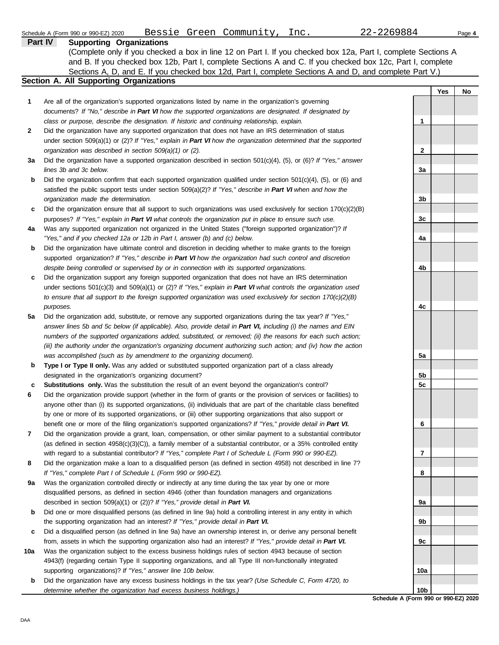|     | Bessie Green Community, Inc.<br>Schedule A (Form 990 or 990-EZ) 2020                                                                                                                                               | 22-2269884      |     | Page 4 |
|-----|--------------------------------------------------------------------------------------------------------------------------------------------------------------------------------------------------------------------|-----------------|-----|--------|
|     | <b>Part IV</b><br><b>Supporting Organizations</b>                                                                                                                                                                  |                 |     |        |
|     | (Complete only if you checked a box in line 12 on Part I. If you checked box 12a, Part I, complete Sections A                                                                                                      |                 |     |        |
|     | and B. If you checked box 12b, Part I, complete Sections A and C. If you checked box 12c, Part I, complete                                                                                                         |                 |     |        |
|     | Sections A, D, and E. If you checked box 12d, Part I, complete Sections A and D, and complete Part V.)                                                                                                             |                 |     |        |
|     | Section A. All Supporting Organizations                                                                                                                                                                            |                 |     |        |
|     |                                                                                                                                                                                                                    |                 | Yes | No     |
| 1   | Are all of the organization's supported organizations listed by name in the organization's governing                                                                                                               |                 |     |        |
|     | documents? If "No," describe in Part VI how the supported organizations are designated. If designated by                                                                                                           |                 |     |        |
|     | class or purpose, describe the designation. If historic and continuing relationship, explain.                                                                                                                      | 1               |     |        |
| 2   | Did the organization have any supported organization that does not have an IRS determination of status                                                                                                             |                 |     |        |
|     | under section 509(a)(1) or (2)? If "Yes," explain in Part VI how the organization determined that the supported                                                                                                    |                 |     |        |
|     | organization was described in section 509(a)(1) or (2).                                                                                                                                                            | $\mathbf{2}$    |     |        |
| За  | Did the organization have a supported organization described in section $501(c)(4)$ , (5), or (6)? If "Yes," answer                                                                                                |                 |     |        |
|     | lines 3b and 3c below.                                                                                                                                                                                             | 3a              |     |        |
| b   | Did the organization confirm that each supported organization qualified under section $501(c)(4)$ , $(5)$ , or $(6)$ and                                                                                           |                 |     |        |
|     | satisfied the public support tests under section 509(a)(2)? If "Yes," describe in Part VI when and how the<br>organization made the determination.                                                                 |                 |     |        |
|     |                                                                                                                                                                                                                    | 3b              |     |        |
| c   | Did the organization ensure that all support to such organizations was used exclusively for section $170(c)(2)(B)$                                                                                                 |                 |     |        |
|     | purposes? If "Yes," explain in Part VI what controls the organization put in place to ensure such use.<br>Was any supported organization not organized in the United States ("foreign supported organization")? If | 3c              |     |        |
| 4a  | "Yes," and if you checked 12a or 12b in Part I, answer (b) and (c) below.                                                                                                                                          | 4a              |     |        |
| b   | Did the organization have ultimate control and discretion in deciding whether to make grants to the foreign                                                                                                        |                 |     |        |
|     | supported organization? If "Yes," describe in Part VI how the organization had such control and discretion                                                                                                         |                 |     |        |
|     | despite being controlled or supervised by or in connection with its supported organizations.                                                                                                                       | 4b              |     |        |
| c   | Did the organization support any foreign supported organization that does not have an IRS determination                                                                                                            |                 |     |        |
|     | under sections $501(c)(3)$ and $509(a)(1)$ or (2)? If "Yes," explain in Part VI what controls the organization used                                                                                                |                 |     |        |
|     | to ensure that all support to the foreign supported organization was used exclusively for section $170(c)(2)(B)$                                                                                                   |                 |     |        |
|     | purposes.                                                                                                                                                                                                          | 4c              |     |        |
| 5a  | Did the organization add, substitute, or remove any supported organizations during the tax year? If "Yes,"                                                                                                         |                 |     |        |
|     | answer lines 5b and 5c below (if applicable). Also, provide detail in Part VI, including (i) the names and EIN                                                                                                     |                 |     |        |
|     | numbers of the supported organizations added, substituted, or removed; (ii) the reasons for each such action;                                                                                                      |                 |     |        |
|     | (iii) the authority under the organization's organizing document authorizing such action; and (iv) how the action                                                                                                  |                 |     |        |
|     | was accomplished (such as by amendment to the organizing document).                                                                                                                                                | 5a              |     |        |
| b   | Type I or Type II only. Was any added or substituted supported organization part of a class already                                                                                                                |                 |     |        |
|     | designated in the organization's organizing document?                                                                                                                                                              | 5b              |     |        |
| c   | Substitutions only. Was the substitution the result of an event beyond the organization's control?                                                                                                                 | 5 <sub>c</sub>  |     |        |
|     | Did the organization provide support (whether in the form of grants or the provision of services or facilities) to                                                                                                 |                 |     |        |
|     | anyone other than (i) its supported organizations, (ii) individuals that are part of the charitable class benefited                                                                                                |                 |     |        |
|     | by one or more of its supported organizations, or (iii) other supporting organizations that also support or                                                                                                        |                 |     |        |
|     | benefit one or more of the filing organization's supported organizations? If "Yes," provide detail in Part VI.                                                                                                     | 6               |     |        |
| 7   | Did the organization provide a grant, loan, compensation, or other similar payment to a substantial contributor                                                                                                    |                 |     |        |
|     | (as defined in section $4958(c)(3)(C)$ ), a family member of a substantial contributor, or a 35% controlled entity                                                                                                 |                 |     |        |
|     | with regard to a substantial contributor? If "Yes," complete Part I of Schedule L (Form 990 or 990-EZ).                                                                                                            | 7               |     |        |
| 8   | Did the organization make a loan to a disqualified person (as defined in section 4958) not described in line 7?                                                                                                    |                 |     |        |
|     | If "Yes," complete Part I of Schedule L (Form 990 or 990-EZ).                                                                                                                                                      | 8               |     |        |
| 9а  | Was the organization controlled directly or indirectly at any time during the tax year by one or more                                                                                                              |                 |     |        |
|     | disqualified persons, as defined in section 4946 (other than foundation managers and organizations                                                                                                                 |                 |     |        |
|     | described in section 509(a)(1) or (2))? If "Yes," provide detail in Part VI.                                                                                                                                       | 9а              |     |        |
| b   | Did one or more disqualified persons (as defined in line 9a) hold a controlling interest in any entity in which                                                                                                    |                 |     |        |
|     | the supporting organization had an interest? If "Yes," provide detail in Part VI.                                                                                                                                  | 9b              |     |        |
| c   | Did a disqualified person (as defined in line 9a) have an ownership interest in, or derive any personal benefit                                                                                                    |                 |     |        |
|     | from, assets in which the supporting organization also had an interest? If "Yes," provide detail in Part VI.                                                                                                       | 9c              |     |        |
| 10a | Was the organization subject to the excess business holdings rules of section 4943 because of section                                                                                                              |                 |     |        |
|     | 4943(f) (regarding certain Type II supporting organizations, and all Type III non-functionally integrated                                                                                                          |                 |     |        |
|     | supporting organizations)? If "Yes," answer line 10b below.                                                                                                                                                        | 10a             |     |        |
| b   | Did the organization have any excess business holdings in the tax year? (Use Schedule C, Form 4720, to                                                                                                             |                 |     |        |
|     | determine whether the organization had excess business holdings.)                                                                                                                                                  | 10 <sub>b</sub> |     |        |

**Schedule A (Form 990 or 990-EZ) 2020**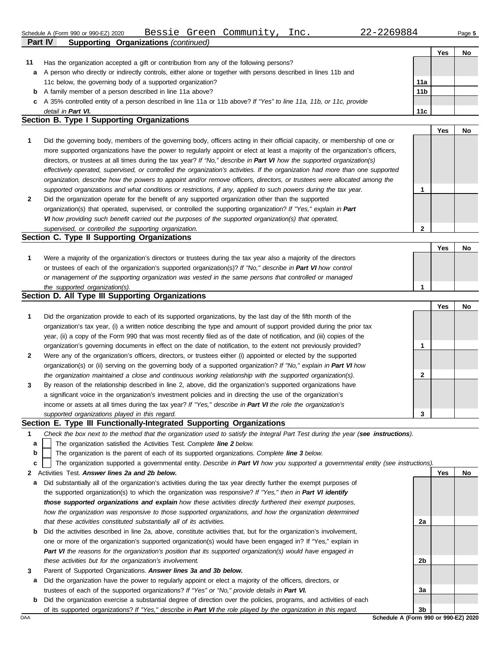**2**

**Yes No**

|    |                                                                                                                      |                 | Yes | No |
|----|----------------------------------------------------------------------------------------------------------------------|-----------------|-----|----|
| 11 | Has the organization accepted a gift or contribution from any of the following persons?                              |                 |     |    |
| a  | A person who directly or indirectly controls, either alone or together with persons described in lines 11b and       |                 |     |    |
|    | 11c below, the governing body of a supported organization?                                                           | 11a             |     |    |
| b  | A family member of a person described in line 11a above?                                                             | 11 <sub>b</sub> |     |    |
|    | c A 35% controlled entity of a person described in line 11a or 11b above? If "Yes" to line 11a, 11b, or 11c, provide |                 |     |    |
|    | detail in Part VI.                                                                                                   | 11c             |     |    |
|    | Section B Type I Supporting Organizations                                                                            |                 |     |    |

#### **Section B. Type I Supporting Organizations**

**Part IV Supporting Organizations** *(continued)*

|   | Did the governing body, members of the governing body, officers acting in their official capacity, or membership of one or<br>more supported organizations have the power to regularly appoint or elect at least a majority of the organization's officers,<br>directors, or trustees at all times during the tax year? If "No," describe in Part VI how the supported organization(s)<br>effectively operated, supervised, or controlled the organization's activities. If the organization had more than one supported<br>organization, describe how the powers to appoint and/or remove officers, directors, or trustees were allocated among the |  |  |
|---|------------------------------------------------------------------------------------------------------------------------------------------------------------------------------------------------------------------------------------------------------------------------------------------------------------------------------------------------------------------------------------------------------------------------------------------------------------------------------------------------------------------------------------------------------------------------------------------------------------------------------------------------------|--|--|
|   | supported organizations and what conditions or restrictions, if any, applied to such powers during the tax year.                                                                                                                                                                                                                                                                                                                                                                                                                                                                                                                                     |  |  |
| 2 | Did the organization operate for the benefit of any supported organization other than the supported<br>organization(s) that operated, supervised, or controlled the supporting organization? If "Yes," explain in Part                                                                                                                                                                                                                                                                                                                                                                                                                               |  |  |

*VI how providing such benefit carried out the purposes of the supported organization(s) that operated,* 

#### **Section C. Type II Supporting Organizations** Were a majority of the organization's directors or trustees during the tax year also a majority of the directors or trustees of each of the organization's supported organization(s)? *If "No," describe in Part VI how control* **1** *or management of the supporting organization was vested in the same persons that controlled or managed the supported organization(s).* **Yes No 1**

### **Section D. All Type III Supporting Organizations**

*supervised, or controlled the supporting organization.*

|                |                                                                                                                        |   | Yes | No |
|----------------|------------------------------------------------------------------------------------------------------------------------|---|-----|----|
| $\mathbf{1}$   | Did the organization provide to each of its supported organizations, by the last day of the fifth month of the         |   |     |    |
|                | organization's tax year, (i) a written notice describing the type and amount of support provided during the prior tax  |   |     |    |
|                | year, (ii) a copy of the Form 990 that was most recently filed as of the date of notification, and (iii) copies of the |   |     |    |
|                | organization's governing documents in effect on the date of notification, to the extent not previously provided?       |   |     |    |
| $\overline{2}$ | Were any of the organization's officers, directors, or trustees either (i) appointed or elected by the supported       |   |     |    |
|                | organization(s) or (ii) serving on the governing body of a supported organization? If "No," explain in Part VI how     |   |     |    |
|                | the organization maintained a close and continuous working relationship with the supported organization(s).            | 2 |     |    |
| $\mathbf{3}$   | By reason of the relationship described in line 2, above, did the organization's supported organizations have          |   |     |    |
|                | a significant voice in the organization's investment policies and in directing the use of the organization's           |   |     |    |
|                | income or assets at all times during the tax year? If "Yes," describe in Part VI the role the organization's           |   |     |    |
|                | supported organizations played in this regard.                                                                         | 3 |     |    |

### **Section E. Type III Functionally-Integrated Supporting Organizations**

- **1** *Check the box next to the method that the organization used to satisfy the Integral Part Test during the year (see instructions).*
	- The organization satisfied the Activities Test. *Complete line 2 below.* **a**
	- The organization is the parent of each of its supported organizations. *Complete line 3 below.* **b**

The organization supported a governmental entity. *Describe in Part VI how you supported a governmental entity (see instructions).* **c**

- **2** Activities Test. *Answer lines 2a and 2b below.*
- **a** Did substantially all of the organization's activities during the tax year directly further the exempt purposes of the supported organization(s) to which the organization was responsive? *If "Yes," then in Part VI identify those supported organizations and explain how these activities directly furthered their exempt purposes,*  how the organization was responsive to those supported organizations, and how the organization determined *that these activities constituted substantially all of its activities.*
- **b** Did the activities described in line 2a, above, constitute activities that, but for the organization's involvement, one or more of the organization's supported organization(s) would have been engaged in? If "Yes," explain in *Part VI the reasons for the organization's position that its supported organization(s) would have engaged in these activities but for the organization's involvement.*
- **3** Parent of Supported Organizations. *Answer lines 3a and 3b below.*
- **a** Did the organization have the power to regularly appoint or elect a majority of the officers, directors, or trustees of each of the supported organizations? *If "Yes" or "No," provide details in Part VI.*
- **b** Did the organization exercise a substantial degree of direction over the policies, programs, and activities of each of its supported organizations? *If "Yes," describe in Part VI the role played by the organization in this regard.*

**2a**

**2b**

**3a**

**Yes No**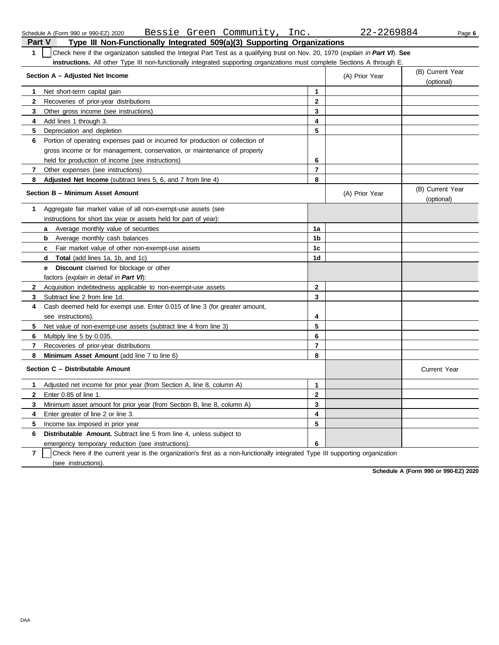| 1            | Check here if the organization satisfied the Integral Part Test as a qualifying trust on Nov. 20, 1970 (explain in Part VI). See<br>instructions. All other Type III non-functionally integrated supporting organizations must complete Sections A through E. |                |                |                                |
|--------------|---------------------------------------------------------------------------------------------------------------------------------------------------------------------------------------------------------------------------------------------------------------|----------------|----------------|--------------------------------|
|              | Section A - Adjusted Net Income                                                                                                                                                                                                                               |                | (A) Prior Year | (B) Current Year<br>(optional) |
| 1            | Net short-term capital gain                                                                                                                                                                                                                                   | 1              |                |                                |
| $\mathbf{2}$ | Recoveries of prior-year distributions                                                                                                                                                                                                                        | $\mathbf{2}$   |                |                                |
| 3            | Other gross income (see instructions)                                                                                                                                                                                                                         | 3              |                |                                |
| 4            | Add lines 1 through 3.                                                                                                                                                                                                                                        | 4              |                |                                |
| 5            | Depreciation and depletion                                                                                                                                                                                                                                    | 5              |                |                                |
| 6            | Portion of operating expenses paid or incurred for production or collection of                                                                                                                                                                                |                |                |                                |
|              | gross income or for management, conservation, or maintenance of property                                                                                                                                                                                      |                |                |                                |
|              | held for production of income (see instructions)                                                                                                                                                                                                              | 6              |                |                                |
| $\mathbf{7}$ | Other expenses (see instructions)                                                                                                                                                                                                                             | $\overline{7}$ |                |                                |
| 8            | Adjusted Net Income (subtract lines 5, 6, and 7 from line 4)                                                                                                                                                                                                  | 8              |                |                                |
|              | Section B - Minimum Asset Amount                                                                                                                                                                                                                              |                | (A) Prior Year | (B) Current Year<br>(optional) |
| 1            | Aggregate fair market value of all non-exempt-use assets (see                                                                                                                                                                                                 |                |                |                                |
|              | instructions for short tax year or assets held for part of year):                                                                                                                                                                                             |                |                |                                |
|              | <b>a</b> Average monthly value of securities                                                                                                                                                                                                                  | 1a             |                |                                |
|              | <b>b</b> Average monthly cash balances                                                                                                                                                                                                                        | 1 <sub>b</sub> |                |                                |
|              | Fair market value of other non-exempt-use assets<br>c.                                                                                                                                                                                                        | 1 <sub>c</sub> |                |                                |
|              | <b>Total</b> (add lines 1a, 1b, and 1c)<br>d                                                                                                                                                                                                                  | 1d             |                |                                |
|              | <b>Discount</b> claimed for blockage or other<br>e                                                                                                                                                                                                            |                |                |                                |
|              | factors (explain in detail in Part VI):                                                                                                                                                                                                                       |                |                |                                |
| $\mathbf{2}$ | Acquisition indebtedness applicable to non-exempt-use assets                                                                                                                                                                                                  | $\mathbf{2}$   |                |                                |
| 3            | Subtract line 2 from line 1d.                                                                                                                                                                                                                                 | 3              |                |                                |
| 4            | Cash deemed held for exempt use. Enter 0.015 of line 3 (for greater amount,                                                                                                                                                                                   |                |                |                                |
|              | see instructions).                                                                                                                                                                                                                                            | 4              |                |                                |
| 5.           | Net value of non-exempt-use assets (subtract line 4 from line 3)                                                                                                                                                                                              | 5              |                |                                |
| 6            | Multiply line 5 by 0.035.                                                                                                                                                                                                                                     | 6              |                |                                |
| 7            | Recoveries of prior-year distributions                                                                                                                                                                                                                        | $\overline{7}$ |                |                                |
| 8            | Minimum Asset Amount (add line 7 to line 6)                                                                                                                                                                                                                   | 8              |                |                                |
|              | Section C - Distributable Amount                                                                                                                                                                                                                              |                |                | Current Year                   |
| 1            | Adjusted net income for prior year (from Section A, line 8, column A)                                                                                                                                                                                         | $\mathbf 1$    |                |                                |
| $\mathbf{2}$ | Enter 0.85 of line 1.                                                                                                                                                                                                                                         | $\mathbf{2}$   |                |                                |
| 3            | Minimum asset amount for prior year (from Section B, line 8, column A)                                                                                                                                                                                        | 3              |                |                                |
| 4            | Enter greater of line 2 or line 3.                                                                                                                                                                                                                            | 4              |                |                                |
| 5            | Income tax imposed in prior year                                                                                                                                                                                                                              | 5              |                |                                |
| 6            | <b>Distributable Amount.</b> Subtract line 5 from line 4, unless subject to                                                                                                                                                                                   |                |                |                                |
|              | emergency temporary reduction (see instructions).                                                                                                                                                                                                             | 6              |                |                                |
|              |                                                                                                                                                                                                                                                               |                |                |                                |

# **Part V Type III Non-Functionally Integrated 509(a)(3) Supporting Organizations** Schedule A (Form 990 or 990-EZ) 2020 Page **6** Bessie Green Community, Inc. 22-2269884

**Schedule A (Form 990 or 990-EZ) 2020**

**7** | Check here if the current year is the organization's first as a non-functionally integrated Type III supporting organization

(see instructions).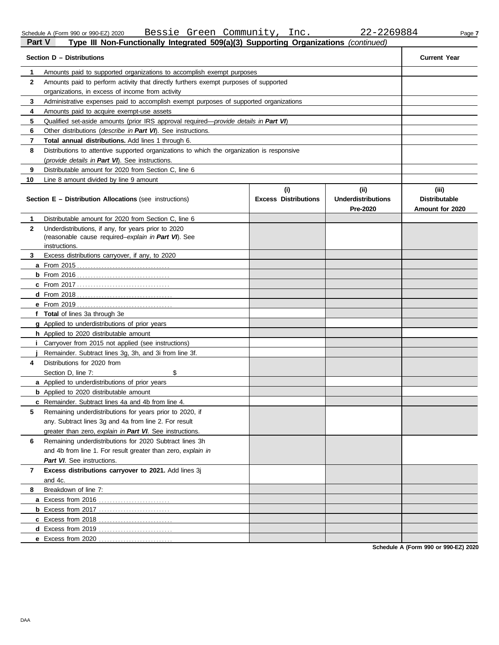DAA

| Schedule A (Form 990 or 990-EZ) 20 |  |  |  |  |  |
|------------------------------------|--|--|--|--|--|
|------------------------------------|--|--|--|--|--|

Schedule A (Form 990 or 990-EZ) 2020 Page **7** Bessie Green Community, Inc. 22-2269884

| Part V       | Type III Non-Functionally Integrated 509(a)(3) Supporting Organizations (continued)           |                                    |                                               |                                                  |
|--------------|-----------------------------------------------------------------------------------------------|------------------------------------|-----------------------------------------------|--------------------------------------------------|
|              | Section D - Distributions                                                                     |                                    |                                               | <b>Current Year</b>                              |
| 1            | Amounts paid to supported organizations to accomplish exempt purposes                         |                                    |                                               |                                                  |
| $\mathbf{2}$ | Amounts paid to perform activity that directly furthers exempt purposes of supported          |                                    |                                               |                                                  |
|              | organizations, in excess of income from activity                                              |                                    |                                               |                                                  |
| 3            | Administrative expenses paid to accomplish exempt purposes of supported organizations         |                                    |                                               |                                                  |
| 4            | Amounts paid to acquire exempt-use assets                                                     |                                    |                                               |                                                  |
| 5            | Qualified set-aside amounts (prior IRS approval required— <i>provide details in Part VI</i> ) |                                    |                                               |                                                  |
| 6            | Other distributions (describe in Part VI). See instructions.                                  |                                    |                                               |                                                  |
| 7            | Total annual distributions. Add lines 1 through 6.                                            |                                    |                                               |                                                  |
| 8            | Distributions to attentive supported organizations to which the organization is responsive    |                                    |                                               |                                                  |
|              | (provide details in Part VI). See instructions.                                               |                                    |                                               |                                                  |
| 9            | Distributable amount for 2020 from Section C, line 6                                          |                                    |                                               |                                                  |
| 10           | Line 8 amount divided by line 9 amount                                                        |                                    |                                               |                                                  |
|              | <b>Section E - Distribution Allocations (see instructions)</b>                                | (i)<br><b>Excess Distributions</b> | (ii)<br><b>Underdistributions</b><br>Pre-2020 | (iii)<br><b>Distributable</b><br>Amount for 2020 |
| 1            | Distributable amount for 2020 from Section C, line 6                                          |                                    |                                               |                                                  |
| $\mathbf{2}$ | Underdistributions, if any, for years prior to 2020                                           |                                    |                                               |                                                  |
|              | (reasonable cause required-explain in Part VI). See                                           |                                    |                                               |                                                  |
|              | instructions.                                                                                 |                                    |                                               |                                                  |
| 3            | Excess distributions carryover, if any, to 2020                                               |                                    |                                               |                                                  |
|              |                                                                                               |                                    |                                               |                                                  |
|              |                                                                                               |                                    |                                               |                                                  |
|              |                                                                                               |                                    |                                               |                                                  |
|              |                                                                                               |                                    |                                               |                                                  |
|              | f Total of lines 3a through 3e                                                                |                                    |                                               |                                                  |
|              | <b>g</b> Applied to underdistributions of prior years                                         |                                    |                                               |                                                  |
|              | h Applied to 2020 distributable amount                                                        |                                    |                                               |                                                  |
|              | <i>i</i> Carryover from 2015 not applied (see instructions)                                   |                                    |                                               |                                                  |
|              | Remainder. Subtract lines 3g, 3h, and 3i from line 3f.                                        |                                    |                                               |                                                  |
| 4            | Distributions for 2020 from                                                                   |                                    |                                               |                                                  |
|              | \$<br>Section D, line 7:                                                                      |                                    |                                               |                                                  |
|              | a Applied to underdistributions of prior years                                                |                                    |                                               |                                                  |
|              | <b>b</b> Applied to 2020 distributable amount                                                 |                                    |                                               |                                                  |
|              | c Remainder. Subtract lines 4a and 4b from line 4.                                            |                                    |                                               |                                                  |
| 5            | Remaining underdistributions for years prior to 2020, if                                      |                                    |                                               |                                                  |
|              | any. Subtract lines 3g and 4a from line 2. For result                                         |                                    |                                               |                                                  |
|              | greater than zero, explain in Part VI. See instructions.                                      |                                    |                                               |                                                  |
| 6            | Remaining underdistributions for 2020 Subtract lines 3h                                       |                                    |                                               |                                                  |
|              | and 4b from line 1. For result greater than zero, explain in                                  |                                    |                                               |                                                  |
|              | Part VI. See instructions.                                                                    |                                    |                                               |                                                  |
| 7            | Excess distributions carryover to 2021. Add lines 3j                                          |                                    |                                               |                                                  |
|              | and 4c.                                                                                       |                                    |                                               |                                                  |
| 8            | Breakdown of line 7:                                                                          |                                    |                                               |                                                  |
|              | a Excess from 2016                                                                            |                                    |                                               |                                                  |
|              |                                                                                               |                                    |                                               |                                                  |
|              |                                                                                               |                                    |                                               |                                                  |
|              | d Excess from 2019                                                                            |                                    |                                               |                                                  |
|              | e Excess from 2020                                                                            |                                    |                                               |                                                  |

**Schedule A (Form 990 or 990-EZ) 2020**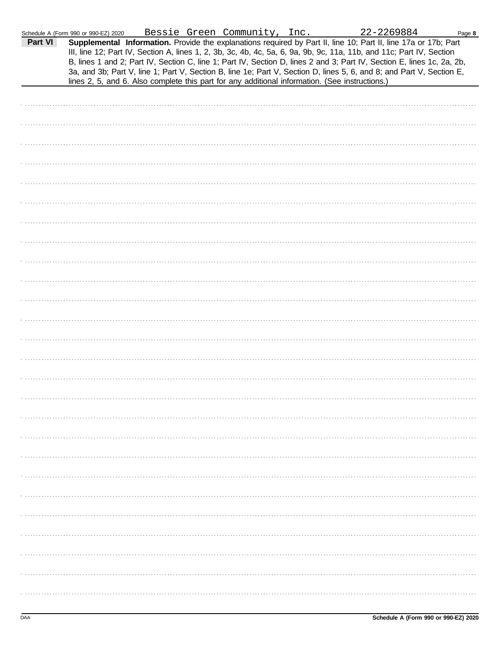| Part VI | Schedule A (Form 990 or 990-EZ) 2020<br>lines 2, 5, and 6. Also complete this part for any additional information. (See instructions.) |  | Bessie Green Community, Inc. | 22-2269884<br>Supplemental Information. Provide the explanations required by Part II, line 10; Part II, line 17a or 17b; Part<br>III, line 12; Part IV, Section A, lines 1, 2, 3b, 3c, 4b, 4c, 5a, 6, 9a, 9b, 9c, 11a, 11b, and 11c; Part IV, Section<br>B, lines 1 and 2; Part IV, Section C, line 1; Part IV, Section D, lines 2 and 3; Part IV, Section E, lines 1c, 2a, 2b,<br>3a, and 3b; Part V, line 1; Part V, Section B, line 1e; Part V, Section D, lines 5, 6, and 8; and Part V, Section E, | Page 8 |
|---------|----------------------------------------------------------------------------------------------------------------------------------------|--|------------------------------|---------------------------------------------------------------------------------------------------------------------------------------------------------------------------------------------------------------------------------------------------------------------------------------------------------------------------------------------------------------------------------------------------------------------------------------------------------------------------------------------------------|--------|
|         |                                                                                                                                        |  |                              |                                                                                                                                                                                                                                                                                                                                                                                                                                                                                                         |        |
|         |                                                                                                                                        |  |                              |                                                                                                                                                                                                                                                                                                                                                                                                                                                                                                         |        |
|         |                                                                                                                                        |  |                              |                                                                                                                                                                                                                                                                                                                                                                                                                                                                                                         |        |
|         |                                                                                                                                        |  |                              |                                                                                                                                                                                                                                                                                                                                                                                                                                                                                                         |        |
|         |                                                                                                                                        |  |                              |                                                                                                                                                                                                                                                                                                                                                                                                                                                                                                         |        |
|         |                                                                                                                                        |  |                              |                                                                                                                                                                                                                                                                                                                                                                                                                                                                                                         |        |
|         |                                                                                                                                        |  |                              |                                                                                                                                                                                                                                                                                                                                                                                                                                                                                                         |        |
|         |                                                                                                                                        |  |                              |                                                                                                                                                                                                                                                                                                                                                                                                                                                                                                         |        |
|         |                                                                                                                                        |  |                              |                                                                                                                                                                                                                                                                                                                                                                                                                                                                                                         |        |
|         |                                                                                                                                        |  |                              |                                                                                                                                                                                                                                                                                                                                                                                                                                                                                                         |        |
|         |                                                                                                                                        |  |                              |                                                                                                                                                                                                                                                                                                                                                                                                                                                                                                         |        |
|         |                                                                                                                                        |  |                              |                                                                                                                                                                                                                                                                                                                                                                                                                                                                                                         |        |
|         |                                                                                                                                        |  |                              |                                                                                                                                                                                                                                                                                                                                                                                                                                                                                                         |        |
|         |                                                                                                                                        |  |                              |                                                                                                                                                                                                                                                                                                                                                                                                                                                                                                         |        |
|         |                                                                                                                                        |  |                              |                                                                                                                                                                                                                                                                                                                                                                                                                                                                                                         |        |
|         |                                                                                                                                        |  |                              |                                                                                                                                                                                                                                                                                                                                                                                                                                                                                                         |        |
|         |                                                                                                                                        |  |                              |                                                                                                                                                                                                                                                                                                                                                                                                                                                                                                         |        |
|         |                                                                                                                                        |  |                              |                                                                                                                                                                                                                                                                                                                                                                                                                                                                                                         |        |
|         |                                                                                                                                        |  |                              |                                                                                                                                                                                                                                                                                                                                                                                                                                                                                                         |        |
|         |                                                                                                                                        |  |                              |                                                                                                                                                                                                                                                                                                                                                                                                                                                                                                         |        |
|         |                                                                                                                                        |  |                              |                                                                                                                                                                                                                                                                                                                                                                                                                                                                                                         |        |
|         |                                                                                                                                        |  |                              |                                                                                                                                                                                                                                                                                                                                                                                                                                                                                                         |        |
|         |                                                                                                                                        |  |                              |                                                                                                                                                                                                                                                                                                                                                                                                                                                                                                         |        |
|         |                                                                                                                                        |  |                              |                                                                                                                                                                                                                                                                                                                                                                                                                                                                                                         |        |
|         |                                                                                                                                        |  |                              |                                                                                                                                                                                                                                                                                                                                                                                                                                                                                                         |        |
|         |                                                                                                                                        |  |                              |                                                                                                                                                                                                                                                                                                                                                                                                                                                                                                         |        |
|         |                                                                                                                                        |  |                              |                                                                                                                                                                                                                                                                                                                                                                                                                                                                                                         |        |
|         |                                                                                                                                        |  |                              |                                                                                                                                                                                                                                                                                                                                                                                                                                                                                                         |        |
|         |                                                                                                                                        |  |                              |                                                                                                                                                                                                                                                                                                                                                                                                                                                                                                         |        |
|         |                                                                                                                                        |  |                              |                                                                                                                                                                                                                                                                                                                                                                                                                                                                                                         |        |
|         |                                                                                                                                        |  |                              |                                                                                                                                                                                                                                                                                                                                                                                                                                                                                                         |        |
|         |                                                                                                                                        |  |                              |                                                                                                                                                                                                                                                                                                                                                                                                                                                                                                         |        |
|         |                                                                                                                                        |  |                              |                                                                                                                                                                                                                                                                                                                                                                                                                                                                                                         |        |
|         |                                                                                                                                        |  |                              |                                                                                                                                                                                                                                                                                                                                                                                                                                                                                                         |        |
|         |                                                                                                                                        |  |                              |                                                                                                                                                                                                                                                                                                                                                                                                                                                                                                         |        |
|         |                                                                                                                                        |  |                              |                                                                                                                                                                                                                                                                                                                                                                                                                                                                                                         |        |
|         |                                                                                                                                        |  |                              |                                                                                                                                                                                                                                                                                                                                                                                                                                                                                                         |        |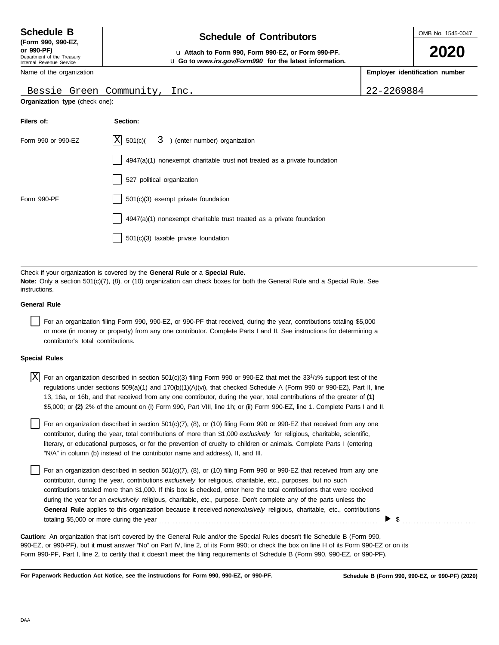# **Schedule of Contributors Schedule B**

OMB No. 1545-0047

**2020**

**or 990-PF)** u **Attach to Form 990, Form 990-EZ, or Form 990-PF.** u **Go to** *www.irs.gov/Form990* **for the latest information.**

**Employer identification number**

Bessie Green Community, Inc. 22-2269884

Name of the organization

**(Form 990, 990-EZ,**

|  | Bessie Green Community, Inc |  |
|--|-----------------------------|--|
|  |                             |  |

| <b>Organization type</b> (check one): |  |  |  |
|---------------------------------------|--|--|--|
|---------------------------------------|--|--|--|

| Filers of:         | Section:                                                                    |
|--------------------|-----------------------------------------------------------------------------|
| Form 990 or 990-EZ | $ X $ 501(c)( $3$ ) (enter number) organization                             |
|                    | $4947(a)(1)$ nonexempt charitable trust not treated as a private foundation |
|                    | 527 political organization                                                  |
| Form 990-PF        | 501(c)(3) exempt private foundation                                         |
|                    | 4947(a)(1) nonexempt charitable trust treated as a private foundation       |
|                    | 501(c)(3) taxable private foundation                                        |

Check if your organization is covered by the **General Rule** or a **Special Rule. Note:** Only a section 501(c)(7), (8), or (10) organization can check boxes for both the General Rule and a Special Rule. See instructions.

#### **General Rule**

For an organization filing Form 990, 990-EZ, or 990-PF that received, during the year, contributions totaling \$5,000 or more (in money or property) from any one contributor. Complete Parts I and II. See instructions for determining a contributor's total contributions.

#### **Special Rules**

| $\overline{X}$ For an organization described in section 501(c)(3) filing Form 990 or 990-EZ that met the 33 <sup>1</sup> /3% support test of the |
|--------------------------------------------------------------------------------------------------------------------------------------------------|
| regulations under sections 509(a)(1) and 170(b)(1)(A)(vi), that checked Schedule A (Form 990 or 990-EZ), Part II, line                           |
| 13, 16a, or 16b, and that received from any one contributor, during the year, total contributions of the greater of (1)                          |
| \$5,000; or (2) 2% of the amount on (i) Form 990, Part VIII, line 1h; or (ii) Form 990-EZ, line 1. Complete Parts I and II.                      |

literary, or educational purposes, or for the prevention of cruelty to children or animals. Complete Parts I (entering For an organization described in section 501(c)(7), (8), or (10) filing Form 990 or 990-EZ that received from any one contributor, during the year, total contributions of more than \$1,000 *exclusively* for religious, charitable, scientific, "N/A" in column (b) instead of the contributor name and address), II, and III.

For an organization described in section 501(c)(7), (8), or (10) filing Form 990 or 990-EZ that received from any one contributor, during the year, contributions *exclusively* for religious, charitable, etc., purposes, but no such contributions totaled more than \$1,000. If this box is checked, enter here the total contributions that were received during the year for an *exclusively* religious, charitable, etc., purpose. Don't complete any of the parts unless the **General Rule** applies to this organization because it received *nonexclusively* religious, charitable, etc., contributions totaling \$5,000 or more during the year . . . . . . . . . . . . . . . . . . . . . . . . . . . . . . . . . . . . . . . . . . . . . . . . . . . . . . . . . . . . . . . . . . . . . . . . . . . . . . . .

990-EZ, or 990-PF), but it **must** answer "No" on Part IV, line 2, of its Form 990; or check the box on line H of its Form 990-EZ or on its Form 990-PF, Part I, line 2, to certify that it doesn't meet the filing requirements of Schedule B (Form 990, 990-EZ, or 990-PF). **Caution:** An organization that isn't covered by the General Rule and/or the Special Rules doesn't file Schedule B (Form 990,

**For Paperwork Reduction Act Notice, see the instructions for Form 990, 990-EZ, or 990-PF.**

 $\triangleright$  \$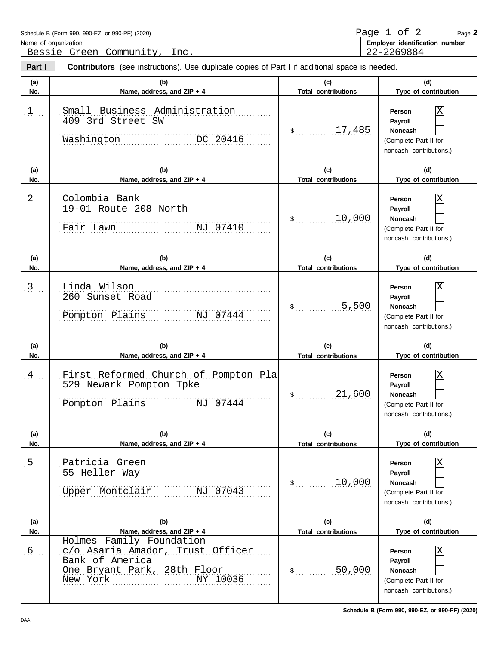| Schedule B (Form 990, 990-EZ, or 990-PF) (2020)                                                                 | Page 1 of 2<br>Page 2          |
|-----------------------------------------------------------------------------------------------------------------|--------------------------------|
| Name of organization                                                                                            | Employer identification number |
| Bessie Green Community,<br>Inc.                                                                                 | 22-2269884                     |
| Part I<br><b>Contributors</b> (see instructions). Use duplicate copies of Part I if additional space is needed. |                                |

| Part I     | Contributors (see instructions). Use duplicate copies of Part I if additional space is needed.                                         |                                                       |                                                                                                                      |
|------------|----------------------------------------------------------------------------------------------------------------------------------------|-------------------------------------------------------|----------------------------------------------------------------------------------------------------------------------|
| (a)<br>No. | (b)<br>Name, address, and ZIP + 4                                                                                                      | (c)<br><b>Total contributions</b>                     | (d)<br>Type of contribution                                                                                          |
| 1          | Small Business Administration<br>409 3rd Street SW<br>Washington<br>DC 20416                                                           | 17,485<br>$\mathsf{\$}$                               | Χ<br>Person<br>Payroll<br><b>Noncash</b><br>(Complete Part II for<br>noncash contributions.)                         |
| (a)        | (b)                                                                                                                                    | (c)                                                   | (d)                                                                                                                  |
| No.<br>2   | Name, address, and ZIP + 4<br>Colombia Bank<br>19-01 Route 208 North<br>NJ 07410<br>Fair Lawn                                          | <b>Total contributions</b><br>10,000<br>$\mathsf{\$}$ | Type of contribution<br>Χ<br>Person<br>Payroll<br><b>Noncash</b><br>(Complete Part II for<br>noncash contributions.) |
| (a)        | (b)                                                                                                                                    | (c)                                                   | (d)                                                                                                                  |
| No.<br>.3  | Name, address, and ZIP + 4<br>Linda Wilson<br>260 Sunset Road<br>Pompton Plains<br>NJ 07444                                            | <b>Total contributions</b><br>5,500<br>$\mathsf{\$}$  | Type of contribution<br>Χ<br>Person<br>Payroll<br><b>Noncash</b><br>(Complete Part II for<br>noncash contributions.) |
| (a)<br>No. | (b)<br>Name, address, and ZIP + 4                                                                                                      | (c)<br><b>Total contributions</b>                     | (d)<br>Type of contribution                                                                                          |
| 4          | First Reformed Church of Pompton Pla<br>529 Newark Pompton Tpke<br>IS NJ 07444<br>Pompton Plains                                       | 21,600<br>$\mathsf{\$}$                               | Χ<br>Person<br>Payroll<br>Noncash<br>(Complete Part II for<br>noncash contributions.)                                |
| (a)<br>No. | (b)<br>Name, address, and ZIP + 4                                                                                                      | (c)<br><b>Total contributions</b>                     | (d)<br>Type of contribution                                                                                          |
| .5         | Patricia Green<br>55 Heller Way<br>Upper Montclair<br>NJ 07043                                                                         | 10,000<br>$\frac{1}{2}$                               | Person<br>Payroll<br>Noncash<br>(Complete Part II for<br>noncash contributions.)                                     |
| (a)<br>No. | (b)<br>Name, address, and ZIP + 4                                                                                                      | (c)<br><b>Total contributions</b>                     | (d)<br>Type of contribution                                                                                          |
| .6         | Holmes Family Foundation<br>c/o Asaria Amador, Trust Officer<br>Bank of America<br>One Bryant Park, 28th Floor<br>New York<br>NY 10036 | 50,000<br>$\frac{1}{2}$                               | Person<br>Payroll<br>Noncash<br>(Complete Part II for<br>noncash contributions.)                                     |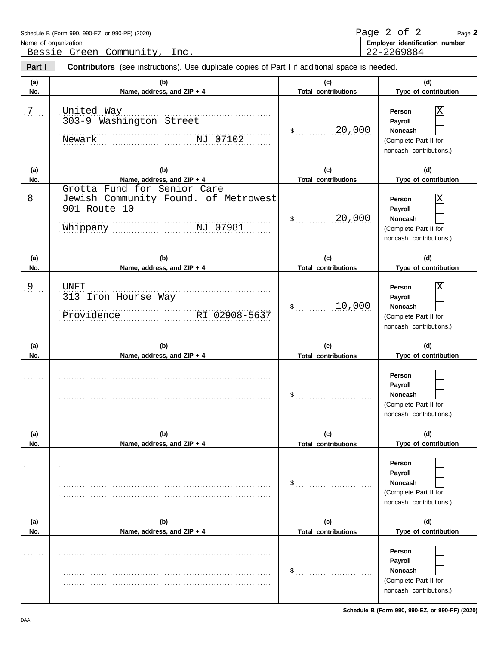|            | Name of organization<br>Bessie Green Community, Inc.                                                        |                                   | Employer identification number<br>22-2269884                                                                    |  |  |
|------------|-------------------------------------------------------------------------------------------------------------|-----------------------------------|-----------------------------------------------------------------------------------------------------------------|--|--|
| Part I     | <b>Contributors</b> (see instructions). Use duplicate copies of Part I if additional space is needed.       |                                   |                                                                                                                 |  |  |
| (a)<br>No. | (b)<br>Name, address, and ZIP + 4                                                                           | (c)<br><b>Total contributions</b> | (d)<br>Type of contribution                                                                                     |  |  |
| 7          | United Way<br>303-9 Washington Street<br>Newark NJ 07102                                                    | 20,000<br>$\frac{1}{2}$           | X<br>Person<br>Payroll<br>Noncash<br>(Complete Part II for<br>noncash contributions.)                           |  |  |
| (a)<br>No. | (b)<br>Name, address, and ZIP + 4                                                                           | (c)<br><b>Total contributions</b> | (d)<br>Type of contribution                                                                                     |  |  |
| 8          | Grotta Fund for Senior Care<br>Jewish Community Found. of Metrowest<br>901 Route 10<br>NJ 07981<br>Whippany | 20,000<br>$\frac{1}{2}$           | X<br>Person<br>Payroll<br>Noncash<br>(Complete Part II for<br>noncash contributions.)                           |  |  |
| (a)<br>No. | (b)<br>Name, address, and ZIP + 4                                                                           | (c)<br><b>Total contributions</b> | (d)<br>Type of contribution                                                                                     |  |  |
| $9$        | <b>UNFI</b><br>313 Iron Hourse Way<br>RI 02908-5637<br>Providence                                           | 10,000<br>$\frac{1}{2}$           | X<br>Person<br>Payroll<br>Noncash<br>(Complete Part II for<br>noncash contributions.)                           |  |  |
| (a)<br>No. | (b)<br>Name, address, and ZIP + 4                                                                           | (c)<br><b>Total contributions</b> | (d)<br>Type of contribution                                                                                     |  |  |
|            |                                                                                                             | $\frac{1}{2}$                     | Person<br>Payroll<br>Noncash<br>(Complete Part II for<br>noncash contributions.)                                |  |  |
| (a)<br>No. | (b)<br>Name, address, and ZIP + 4                                                                           | (c)<br><b>Total contributions</b> | (d)<br>Type of contribution                                                                                     |  |  |
|            |                                                                                                             | \$                                | Person<br>Payroll<br><b>Noncash</b><br>(Complete Part II for<br>noncash contributions.)                         |  |  |
| (a)        | (b)                                                                                                         | (c)                               | (d)                                                                                                             |  |  |
| No.        | Name, address, and ZIP + 4                                                                                  | <b>Total contributions</b><br>\$  | Type of contribution<br>Person<br>Payroll<br><b>Noncash</b><br>(Complete Part II for<br>noncash contributions.) |  |  |

Page **2**

Page 2 of 2

Schedule B (Form 990, 990-EZ, or 990-PF) (2020)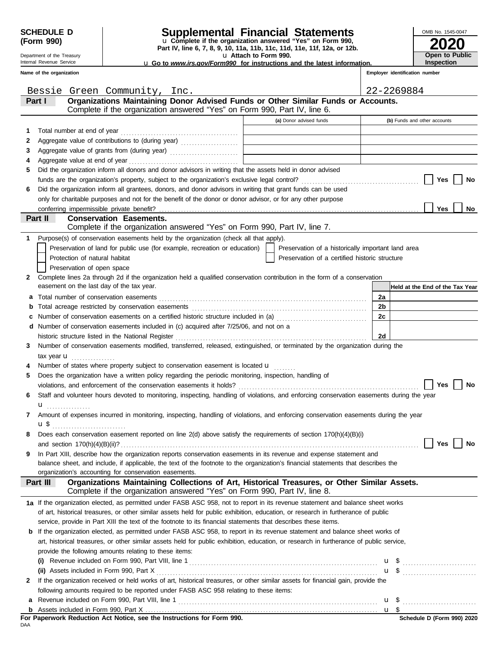Department of the Treasury Internal Revenue Service

## **SCHEDULE D Supplemental Financial Statements**

**Part IV, line 6, 7, 8, 9, 10, 11a, 11b, 11c, 11d, 11e, 11f, 12a, or 12b.** u **Complete if the organization answered "Yes" on Form 990,**

u **Attach to Form 990.** 

| 2020                                |
|-------------------------------------|
| Open to Public<br><b>Inspection</b> |

OMB No. 1545-0047

u **Go to** *www.irs.gov/Form990* **for instructions and the latest information.**

**Conservation Easements.**  Does each conservation easement reported on line  $2(d)$  above satisfy the requirements of section  $170(h)(4)(B)(i)$ Number of states where property subject to conservation easement is located  $\mathbf u$ If the organization received or held works of art, historical treasures, or other similar assets for financial gain, provide the **Part I Organizations Maintaining Donor Advised Funds or Other Similar Funds or Accounts. Employer identification number Name of the organization (a)** Donor advised funds **(b)** Funds and other accounts **a** Total number of conservation easements . . . . . . . . . . . . . . . . . . . . . . . . . . . . . . . . . . . . . . . . . . . . . . . . . . . . . . . . . . . . . . . . . . . . . . . . . . . . **b** Total acreage restricted by conservation easements . . . . . . . . . . . . . . . . . . . . . . . . . . . . . . . . . . . . . . . . . . . . . . . . . . . . . . . . . . . . . . . . **c** Number of conservation easements on a certified historic structure included in (a) ............................... **d** Number of conservation easements included in (c) acquired after 7/25/06, and not on a Assets included in Form 990, Part X . . . . . . . . . . . . . . . . . . . . . . . . . . . . . . . . . . . . . . . . . . . . . . . . . . . . . . . . . . . . . . . . . . . . . . . . . . . . . . . . . **(ii)** \$ . . . . . . . . . . . . . . . . . . . . . . . . . . . u Revenue included on Form 990, Part VIII, line 1 . . . . . . . . . . . . . . . . . . . . . . . . . . . . . . . . . . . . . . . . . . . . . . . . . . . . . . . . . . . . . . . . . . . . . . . . . **a** \$ . . . . . . . . . . . . . . . . . . . . . . . . . . . u **Held at the End of the Tax Year** Complete if the organization answered "Yes" on Form 990, Part IV, line 6. of art, historical treasures, or other similar assets held for public exhibition, education, or research in furtherance of public service, provide in Part XIII the text of the footnote to its financial statements that describes these items. **b** If the organization elected, as permitted under FASB ASC 958, to report in its revenue statement and balance sheet works of art, historical treasures, or other similar assets held for public exhibition, education, or research in furtherance of public service, provide the following amounts relating to these items: **(i)** Revenue included on Form 990, Part VIII, line 1 . . . . . . . . . . . . . . . . . . . . . . . . . . . . . . . . . . . . . . . . . . . . . . . . . . . . . . . . . . . . . . . . . . . . . \$ . . . . . . . . . . . . . . . . . . . . . . . . . . . u **1 2 3 4 5 6** Total number at end of year . . . . . . . . . . . . . . . . . . . . . . . . . . . . . . . . . . . . . . . . . . . Aggregate value of contributions to (during year) ..................... Aggregate value of grants from (during year) .......................... Aggregate value at end of year . . . . . . . . . . . . . . . . . . . . . . . . . . . . . . . . . . . . . . . . Did the organization inform all donors and donor advisors in writing that the assets held in donor advised funds are the organization's property, subject to the organization's exclusive legal control? . . . . . . . . . . . . . . . . . . . . . . . . . . . . . . . . . . . . . . . . . . . Did the organization inform all grantees, donors, and donor advisors in writing that grant funds can be used only for charitable purposes and not for the benefit of the donor or donor advisor, or for any other purpose **Yes Yes No No Part II** Complete lines 2a through 2d if the organization held a qualified conservation contribution in the form of a conservation Purpose(s) of conservation easements held by the organization (check all that apply). **2 1** easement on the last day of the tax year. Preservation of land for public use (for example, recreation or education) Protection of natural habitat Preservation of open space Preservation of a certified historic structure Preservation of a historically important land area tax year **u** . . . . . . . . . . . . . . . . **3** Number of conservation easements modified, transferred, released, extinguished, or terminated by the organization during the **4 5** Does the organization have a written policy regarding the periodic monitoring, inspection, handling of violations, and enforcement of the conservation easements it holds? . . . . . . . . . . . . . . . . . . . . . . . . . . . . . . . . . . . . . . . . . . . . . . . . . . . . . . . . . . . . . . . . . . **Yes No 6** Staff and volunteer hours devoted to monitoring, inspecting, handling of violations, and enforcing conservation easements during the year **7** Amount of expenses incurred in monitoring, inspecting, handling of violations, and enforcing conservation easements during the year **8** and section 170(h)(4)(B)(ii)? . . . . . . . . . . . . . . . . . . . . . . . . . . . . . . . . . . . . . . . . . . . . . . . . . . . . . . . . . . . . . . . . . . . . . . . . . . . . . . . . . . . . . . . . . . . . . . . . . . . . . . . . . . . . . **Yes No** balance sheet, and include, if applicable, the text of the footnote to the organization's financial statements that describes the **9** In Part XIII, describe how the organization reports conservation easements in its revenue and expense statement and organization's accounting for conservation easements. Complete if the organization answered "Yes" on Form 990, Part IV, line 8. **Part III Organizations Maintaining Collections of Art, Historical Treasures, or Other Similar Assets. 1a** If the organization elected, as permitted under FASB ASC 958, not to report in its revenue statement and balance sheet works **2** following amounts required to be reported under FASB ASC 958 relating to these items: conferring impermissible private benefit? **2a 2b 2c 2d u** . . . . . . . . . . . . . . . . . u \$ . . . . . . . . . . . . . . . . . . . . . . . . . . . historic structure listed in the National Register . . . . . . . . . . . . . . . . . . . . . . . . . . . . . . . . . . . . . . . . . . . . . . . . . . . . . . . . . . . . . . . . . . . . . . Complete if the organization answered "Yes" on Form 990, Part IV, line 7. Bessie Green Community, Inc. 22-2269884

DAA **For Paperwork Reduction Act Notice, see the Instructions for Form 990.**

**b**

Assets included in Form 990, Part X . . . . . . . . . . . . . . . . . . . . . . . . . . . . . . . . . . . . . . . . . . . . . . . . . . . . . . . . . . . . . . . . . . . . . . . . . . . . . . . . . . . . .

\$

u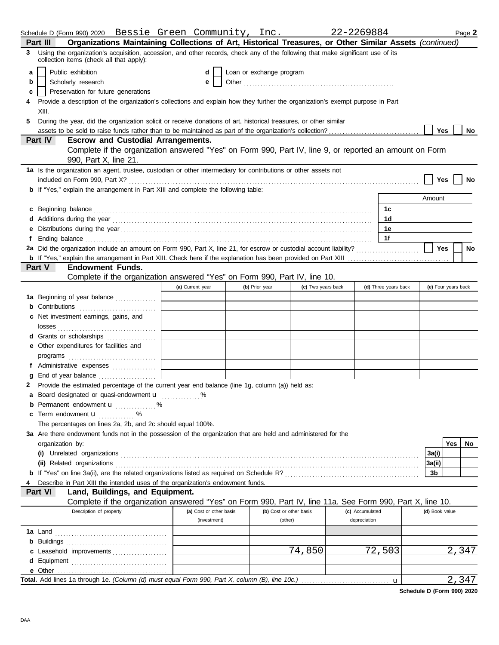| Organizations Maintaining Collections of Art, Historical Treasures, or Other Similar Assets (continued)<br>Part III<br>Using the organization's acquisition, accession, and other records, check any of the following that make significant use of its<br>3 |                     |     |           |
|-------------------------------------------------------------------------------------------------------------------------------------------------------------------------------------------------------------------------------------------------------------|---------------------|-----|-----------|
|                                                                                                                                                                                                                                                             |                     |     |           |
| collection items (check all that apply):                                                                                                                                                                                                                    |                     |     |           |
| Public exhibition<br>Loan or exchange program<br>d<br>a                                                                                                                                                                                                     |                     |     |           |
| Scholarly research<br>e<br>b                                                                                                                                                                                                                                |                     |     |           |
| Preservation for future generations<br>c                                                                                                                                                                                                                    |                     |     |           |
| Provide a description of the organization's collections and explain how they further the organization's exempt purpose in Part                                                                                                                              |                     |     |           |
| XIII.                                                                                                                                                                                                                                                       |                     |     |           |
| 5.<br>During the year, did the organization solicit or receive donations of art, historical treasures, or other similar                                                                                                                                     |                     |     |           |
|                                                                                                                                                                                                                                                             | Yes                 |     | No        |
| Part IV<br><b>Escrow and Custodial Arrangements.</b>                                                                                                                                                                                                        |                     |     |           |
| Complete if the organization answered "Yes" on Form 990, Part IV, line 9, or reported an amount on Form                                                                                                                                                     |                     |     |           |
| 990, Part X, line 21.                                                                                                                                                                                                                                       |                     |     |           |
| 1a Is the organization an agent, trustee, custodian or other intermediary for contributions or other assets not                                                                                                                                             |                     |     |           |
|                                                                                                                                                                                                                                                             | Yes                 |     | No        |
| b If "Yes," explain the arrangement in Part XIII and complete the following table:                                                                                                                                                                          |                     |     |           |
|                                                                                                                                                                                                                                                             | Amount              |     |           |
| c Beginning balance <b>contract to the contract of the contract of the contract of the contract of the contract of the contract of the contract of the contract of the contract of the contract of the contract of the contract </b><br>1c                  |                     |     |           |
| 1 <sub>d</sub>                                                                                                                                                                                                                                              |                     |     |           |
| 1e                                                                                                                                                                                                                                                          |                     |     |           |
| 1f<br>Ending balance with the contract of the contract of the contract of the contract of the contract of the contract of the contract of the contract of the contract of the contract of the contract of the contract of the contra                        |                     |     |           |
|                                                                                                                                                                                                                                                             | Yes                 |     | <b>No</b> |
|                                                                                                                                                                                                                                                             |                     |     |           |
| <b>Endowment Funds.</b><br><b>Part V</b>                                                                                                                                                                                                                    |                     |     |           |
| Complete if the organization answered "Yes" on Form 990, Part IV, line 10.                                                                                                                                                                                  |                     |     |           |
| (a) Current year<br>(d) Three years back<br>(b) Prior year<br>(c) Two years back                                                                                                                                                                            | (e) Four years back |     |           |
| 1a Beginning of year balance                                                                                                                                                                                                                                |                     |     |           |
| <b>b</b> Contributions <b>contributions</b>                                                                                                                                                                                                                 |                     |     |           |
| c Net investment earnings, gains, and                                                                                                                                                                                                                       |                     |     |           |
|                                                                                                                                                                                                                                                             |                     |     |           |
| d Grants or scholarships                                                                                                                                                                                                                                    |                     |     |           |
| e Other expenditures for facilities and                                                                                                                                                                                                                     |                     |     |           |
|                                                                                                                                                                                                                                                             |                     |     |           |
| f Administrative expenses                                                                                                                                                                                                                                   |                     |     |           |
|                                                                                                                                                                                                                                                             |                     |     |           |
| Provide the estimated percentage of the current year end balance (line 1g, column (a)) held as:<br>2                                                                                                                                                        |                     |     |           |
| a Board designated or quasi-endowment u                                                                                                                                                                                                                     |                     |     |           |
| <b>b</b> Permanent endowment <b>u</b> %                                                                                                                                                                                                                     |                     |     |           |
| <b>c</b> Term endowment $\mathbf{u}$ %                                                                                                                                                                                                                      |                     |     |           |
| The percentages on lines 2a, 2b, and 2c should equal 100%.                                                                                                                                                                                                  |                     |     |           |
| 3a Are there endowment funds not in the possession of the organization that are held and administered for the                                                                                                                                               |                     |     |           |
| organization by:                                                                                                                                                                                                                                            |                     | Yes | No.       |
|                                                                                                                                                                                                                                                             | 3a(i)               |     |           |
| (ii) Related organizations <b>constructs</b> or construction of the construction of the construction of the construction of the construction of the construction of the construction of the construction of the construction of the                         | 3a(ii)              |     |           |
|                                                                                                                                                                                                                                                             | 3b                  |     |           |
| Describe in Part XIII the intended uses of the organization's endowment funds.                                                                                                                                                                              |                     |     |           |
| Land, Buildings, and Equipment.<br>Part VI                                                                                                                                                                                                                  |                     |     |           |
| Complete if the organization answered "Yes" on Form 990, Part IV, line 11a. See Form 990, Part X, line 10.                                                                                                                                                  |                     |     |           |
| Description of property<br>(a) Cost or other basis<br>(b) Cost or other basis<br>(c) Accumulated                                                                                                                                                            | (d) Book value      |     |           |
| depreciation<br>(investment)<br>(other)                                                                                                                                                                                                                     |                     |     |           |
|                                                                                                                                                                                                                                                             |                     |     |           |
|                                                                                                                                                                                                                                                             |                     |     |           |
| 74,850<br>72,503<br>c Leasehold improvements                                                                                                                                                                                                                |                     |     | 2,347     |
|                                                                                                                                                                                                                                                             |                     |     |           |
|                                                                                                                                                                                                                                                             |                     |     |           |
| Total. Add lines 1a through 1e. (Column (d) must equal Form 990, Part X, column (B), line 10c.)<br>$\mathbf{u}$                                                                                                                                             |                     |     | 2,347     |

**Schedule D (Form 990) 2020**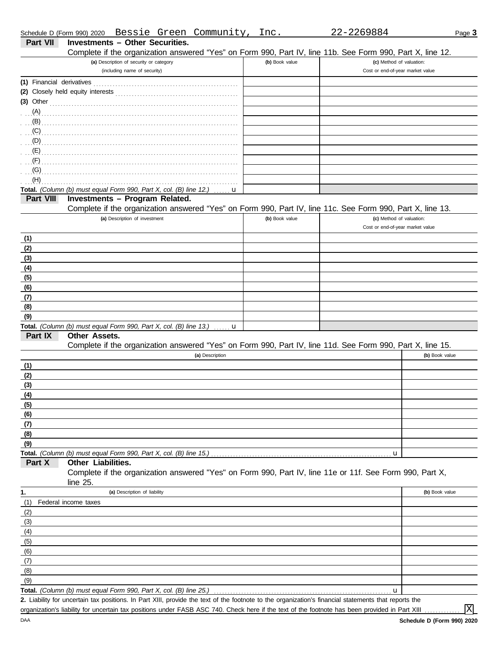|                           | Bessie Green Community,<br>Schedule D (Form 990) 2020                                                                                                                                                                               | Inc.           | 22-2269884                       | Page 3         |
|---------------------------|-------------------------------------------------------------------------------------------------------------------------------------------------------------------------------------------------------------------------------------|----------------|----------------------------------|----------------|
| Part VII                  | <b>Investments - Other Securities.</b>                                                                                                                                                                                              |                |                                  |                |
|                           | Complete if the organization answered "Yes" on Form 990, Part IV, line 11b. See Form 990, Part X, line 12.                                                                                                                          |                |                                  |                |
|                           | (a) Description of security or category                                                                                                                                                                                             | (b) Book value | (c) Method of valuation:         |                |
|                           | (including name of security)                                                                                                                                                                                                        |                | Cost or end-of-year market value |                |
| (1) Financial derivatives |                                                                                                                                                                                                                                     |                |                                  |                |
|                           |                                                                                                                                                                                                                                     |                |                                  |                |
|                           | $(3)$ Other                                                                                                                                                                                                                         |                |                                  |                |
|                           |                                                                                                                                                                                                                                     |                |                                  |                |
| (B)                       |                                                                                                                                                                                                                                     |                |                                  |                |
|                           | $\overline{C}$ (C) and the continuum continuum continuum continuum continuum continuum continuum continuum continuum continuum continuum continuum continuum continuum continuum continuum continuum continuum continuum continuum  |                |                                  |                |
|                           | $\overline{p}$ . The continuum continuum continuum continuum continuum continuum continuum continuum continuum continuum continuum continuum continuum continuum continuum continuum continuum continuum continuum continuum contin |                |                                  |                |
|                           |                                                                                                                                                                                                                                     |                |                                  |                |
| (F)                       |                                                                                                                                                                                                                                     |                |                                  |                |
| (G)                       |                                                                                                                                                                                                                                     |                |                                  |                |
| (H)                       |                                                                                                                                                                                                                                     |                |                                  |                |
| Part VIII                 | Total. (Column (b) must equal Form 990, Part X, col. (B) line 12.)<br>u<br><b>Investments - Program Related.</b>                                                                                                                    |                |                                  |                |
|                           | Complete if the organization answered "Yes" on Form 990, Part IV, line 11c. See Form 990, Part X, line 13.                                                                                                                          |                |                                  |                |
|                           | (a) Description of investment                                                                                                                                                                                                       | (b) Book value | (c) Method of valuation:         |                |
|                           |                                                                                                                                                                                                                                     |                | Cost or end-of-year market value |                |
| (1)                       |                                                                                                                                                                                                                                     |                |                                  |                |
| (2)                       |                                                                                                                                                                                                                                     |                |                                  |                |
| (3)                       |                                                                                                                                                                                                                                     |                |                                  |                |
| (4)                       |                                                                                                                                                                                                                                     |                |                                  |                |
| (5)                       |                                                                                                                                                                                                                                     |                |                                  |                |
| (6)                       |                                                                                                                                                                                                                                     |                |                                  |                |
| (7)                       |                                                                                                                                                                                                                                     |                |                                  |                |
| (8)                       |                                                                                                                                                                                                                                     |                |                                  |                |
| (9)                       |                                                                                                                                                                                                                                     |                |                                  |                |
|                           | Total. (Column (b) must equal Form 990, Part X, col. (B) line 13.) $\ldots$ <b>u</b>                                                                                                                                                |                |                                  |                |
| Part IX                   | Other Assets.                                                                                                                                                                                                                       |                |                                  |                |
|                           | Complete if the organization answered "Yes" on Form 990, Part IV, line 11d. See Form 990, Part X, line 15.                                                                                                                          |                |                                  |                |
|                           | (a) Description                                                                                                                                                                                                                     |                |                                  | (b) Book value |
| (1)                       |                                                                                                                                                                                                                                     |                |                                  |                |
| (2)                       |                                                                                                                                                                                                                                     |                |                                  |                |
| (3)                       |                                                                                                                                                                                                                                     |                |                                  |                |
| (4)                       |                                                                                                                                                                                                                                     |                |                                  |                |
| (5)                       |                                                                                                                                                                                                                                     |                |                                  |                |
| (6)                       |                                                                                                                                                                                                                                     |                |                                  |                |
| (7)                       |                                                                                                                                                                                                                                     |                |                                  |                |
| (8)                       |                                                                                                                                                                                                                                     |                |                                  |                |
| (9)                       |                                                                                                                                                                                                                                     |                |                                  |                |
|                           |                                                                                                                                                                                                                                     |                | u                                |                |
| Part X                    | Other Liabilities.                                                                                                                                                                                                                  |                |                                  |                |
|                           | Complete if the organization answered "Yes" on Form 990, Part IV, line 11e or 11f. See Form 990, Part X,                                                                                                                            |                |                                  |                |
|                           | line $25$ .                                                                                                                                                                                                                         |                |                                  |                |
| 1.                        | (a) Description of liability                                                                                                                                                                                                        |                |                                  | (b) Book value |
| (1)                       | Federal income taxes                                                                                                                                                                                                                |                |                                  |                |
| (2)                       |                                                                                                                                                                                                                                     |                |                                  |                |
| (3)                       |                                                                                                                                                                                                                                     |                |                                  |                |
| (4)                       |                                                                                                                                                                                                                                     |                |                                  |                |
| (5)                       |                                                                                                                                                                                                                                     |                |                                  |                |
| (6)                       |                                                                                                                                                                                                                                     |                |                                  |                |
| (7)                       |                                                                                                                                                                                                                                     |                |                                  |                |
| (8)                       |                                                                                                                                                                                                                                     |                |                                  |                |
| (9)                       |                                                                                                                                                                                                                                     |                |                                  |                |
|                           | Total. (Column (b) must equal Form 990, Part X, col. (B) line 25.)<br>2. Liability for uncertain tax positions. In Part XIII, provide the text of the footnote to the organization's financial statements that reports the          |                | u                                |                |
|                           | organization's liability for uncertain tax positions under FASB ASC 740. Check here if the text of the footnote has been provided in Part XIII                                                                                      |                |                                  | $\rm X$        |
|                           |                                                                                                                                                                                                                                     |                |                                  |                |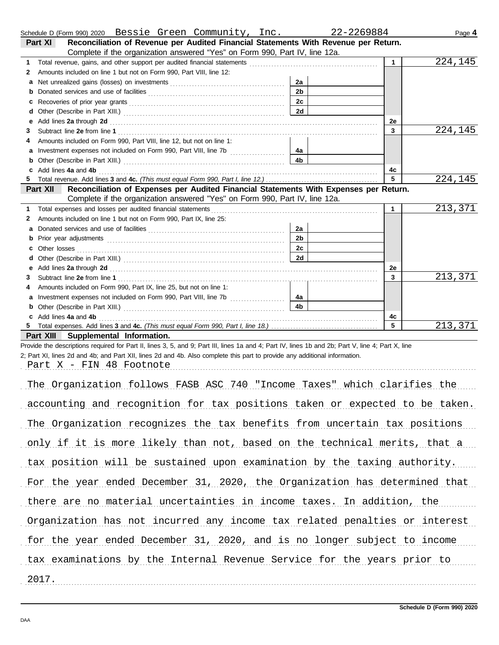|   | Schedule D (Form 990) 2020  Bessie Green Community, Inc.                                                                                                                                                                      |                | 22-2269884   | Page 4  |
|---|-------------------------------------------------------------------------------------------------------------------------------------------------------------------------------------------------------------------------------|----------------|--------------|---------|
|   | Reconciliation of Revenue per Audited Financial Statements With Revenue per Return.<br>Part XI                                                                                                                                |                |              |         |
|   | Complete if the organization answered "Yes" on Form 990, Part IV, line 12a.                                                                                                                                                   |                |              |         |
| 1 |                                                                                                                                                                                                                               |                | $\mathbf{1}$ | 224,145 |
| 2 | Amounts included on line 1 but not on Form 990, Part VIII, line 12:                                                                                                                                                           |                |              |         |
| a |                                                                                                                                                                                                                               | 2a             |              |         |
| b |                                                                                                                                                                                                                               | 2 <sub>b</sub> |              |         |
| с |                                                                                                                                                                                                                               | 2 <sub>c</sub> |              |         |
| d |                                                                                                                                                                                                                               | 2d             |              |         |
| е | Add lines 2a through 2d [11] Add [12] Add [12] Add lines 2a through 2d [12] Add lines 2a through 2d [12] Add [12] Add [12] Add [12] Add [12] Add [12] Add [12] Add [12] Add [12] Add [12] Add [12] Add [12] Add [12] Add [12] |                | 2e           |         |
| 3 |                                                                                                                                                                                                                               |                | 3            | 224,145 |
| 4 | Amounts included on Form 990, Part VIII, line 12, but not on line 1:                                                                                                                                                          |                |              |         |
| a |                                                                                                                                                                                                                               | 4a             |              |         |
| b |                                                                                                                                                                                                                               | 4 <sub>b</sub> |              |         |
|   | Add lines 4a and 4b                                                                                                                                                                                                           |                | 4c           |         |
|   |                                                                                                                                                                                                                               |                | 5            | 224,145 |
|   | Reconciliation of Expenses per Audited Financial Statements With Expenses per Return.<br>Part XII                                                                                                                             |                |              |         |
|   | Complete if the organization answered "Yes" on Form 990, Part IV, line 12a.                                                                                                                                                   |                |              |         |
| 1 | Total expenses and losses per audited financial statements                                                                                                                                                                    |                | $\mathbf 1$  | 213,371 |
| 2 | Amounts included on line 1 but not on Form 990, Part IX, line 25:                                                                                                                                                             |                |              |         |
| a |                                                                                                                                                                                                                               | 2a             |              |         |
| b |                                                                                                                                                                                                                               | 2 <sub>b</sub> |              |         |
| c | Other losses                                                                                                                                                                                                                  | 2c             |              |         |
|   |                                                                                                                                                                                                                               | 2d             |              |         |
| е | Add lines 2a through 2d [11] Add [12] Add [12] Add lines 2a through 2d [12] Add lines 2a through 2d [12] Add [12] Add [12] Add [12] Add [12] Add [12] Add [12] Add [12] Add [12] Add [12] Add [12] Add [12] Add [12] Add [12] |                | 2e           |         |
| 3 |                                                                                                                                                                                                                               |                | 3            | 213,371 |
| 4 | Amounts included on Form 990, Part IX, line 25, but not on line 1:                                                                                                                                                            |                |              |         |
|   |                                                                                                                                                                                                                               | 4a             |              |         |
| b |                                                                                                                                                                                                                               | 4 <sub>b</sub> |              |         |
|   | Add lines 4a and 4b                                                                                                                                                                                                           |                | 4с           |         |
|   |                                                                                                                                                                                                                               |                | 5            | 213,371 |
|   | Part XIII Supplemental Information.                                                                                                                                                                                           |                |              |         |
|   | Provide the descriptions required for Part II, lines 3, 5, and 9; Part III, lines 1a and 4; Part IV, lines 1b and 2b; Part V, line 4; Part X, line                                                                            |                |              |         |
|   | 2; Part XI, lines 2d and 4b; and Part XII, lines 2d and 4b. Also complete this part to provide any additional information.                                                                                                    |                |              |         |
|   | Part X - FIN 48 Footnote                                                                                                                                                                                                      |                |              |         |

| The Organization follows FASB ASC 740 "Income Taxes" which clarifies the    |
|-----------------------------------------------------------------------------|
| accounting and recognition for tax positions taken or expected to be taken. |
| The Organization recognizes the tax benefits from uncertain tax positions   |
| only if it is more likely than not, based on the technical merits, that a   |
| tax position will be sustained upon examination by the taxing authority.    |
| For the year ended December 31, 2020, the Organization has determined that  |
| there are no material uncertainties in income taxes. In addition, the       |
| Organization has not incurred any income tax related penalties or interest  |
| for the year ended December 31, 2020, and is no longer subject to income    |
| tax examinations by the Internal Revenue Service for the years prior to     |
| 2017.                                                                       |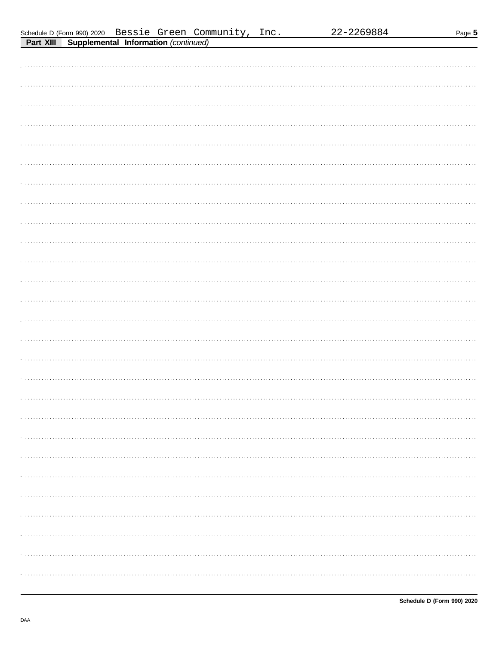| Schedule D (Form 990) 2020 |  |  |
|----------------------------|--|--|
|                            |  |  |

| . <del>.</del> <del>.</del> |
|-----------------------------|
|                             |
|                             |
|                             |
|                             |
|                             |
|                             |
|                             |
|                             |
|                             |
|                             |
|                             |
|                             |
|                             |
|                             |
|                             |
|                             |
|                             |
|                             |
|                             |
|                             |
|                             |
|                             |
|                             |
|                             |
|                             |
|                             |
|                             |
|                             |
|                             |
|                             |
|                             |
|                             |
|                             |
|                             |
|                             |
|                             |
|                             |
|                             |
|                             |
|                             |
|                             |
|                             |
|                             |
|                             |
|                             |
|                             |
|                             |
|                             |
|                             |
|                             |
|                             |
|                             |
|                             |
|                             |
|                             |
|                             |
|                             |
|                             |
|                             |
|                             |
|                             |
|                             |
|                             |
|                             |
|                             |
|                             |
|                             |
|                             |
|                             |
|                             |
|                             |
|                             |
|                             |
|                             |
|                             |
|                             |
|                             |
|                             |
|                             |
|                             |
|                             |
|                             |
|                             |
|                             |
|                             |
|                             |
|                             |
|                             |

DAA